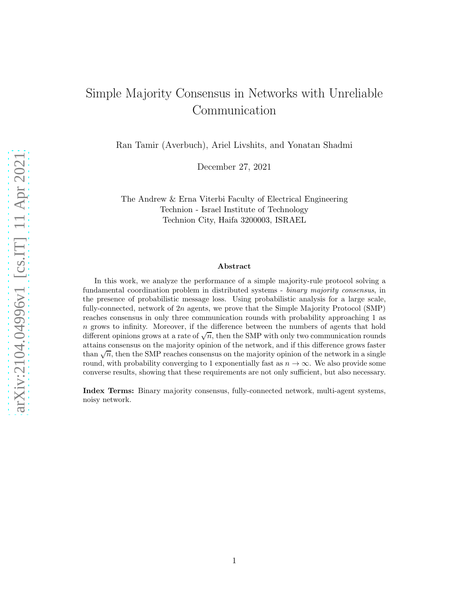# Simple Majority Consensus in Networks with Unreliable Communication

Ran Tamir (Averbuch), Ariel Livshits, and Yonatan Shadmi

December 27, 2021

The Andrew & Erna Viterbi Faculty of Electrical Engineering Technion - Israel Institute of Technology Technion City, Haifa 3200003, ISRAEL

#### Abstract

In this work, we analyze the performance of a simple majority-rule protocol solving a fundamental coordination problem in distributed systems - *binary majority consensus*, in the presence of probabilistic message loss. Using probabilistic analysis for a large scale, fully-connected, network of 2n agents, we prove that the Simple Majority Protocol (SMP) reaches consensus in only three communication rounds with probability approaching 1 as n grows to infinity. Moreover, if the difference between the numbers of agents that hold different opinions grows at a rate of  $\sqrt{n}$ , then the SMP with only two communication rounds attains consensus on the majority opinion of the network, and if this difference grows faster than  $\sqrt{n}$ , then the SMP reaches consensus on the majority opinion of the network in a single round, with probability converging to 1 exponentially fast as  $n \to \infty$ . We also provide some converse results, showing that these requirements are not only sufficient, but also necessary.

Index Terms: Binary majority consensus, fully-connected network, multi-agent systems, noisy network.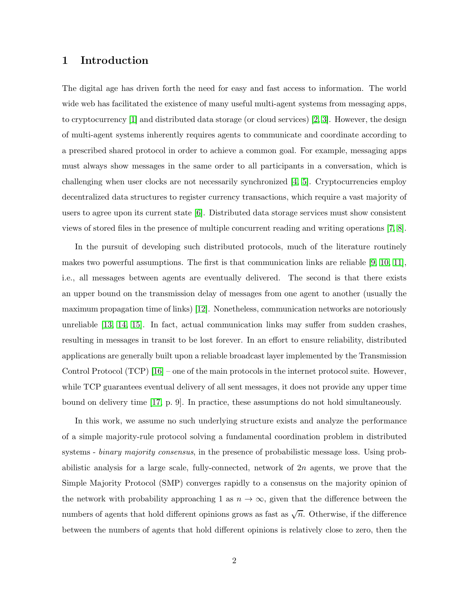### 1 Introduction

The digital age has driven forth the need for easy and fast access to information. The world wide web has facilitated the existence of many useful multi-agent systems from messaging apps, to cryptocurrency [\[1\]](#page-36-0) and distributed data storage (or cloud services) [\[2,](#page-36-1) [3\]](#page-36-2). However, the design of multi-agent systems inherently requires agents to communicate and coordinate according to a prescribed shared protocol in order to achieve a common goal. For example, messaging apps must always show messages in the same order to all participants in a conversation, which is challenging when user clocks are not necessarily synchronized [\[4,](#page-36-3) [5\]](#page-36-4). Cryptocurrencies employ decentralized data structures to register currency transactions, which require a vast majority of users to agree upon its current state [\[6\]](#page-36-5). Distributed data storage services must show consistent views of stored files in the presence of multiple concurrent reading and writing operations [\[7,](#page-36-6) [8\]](#page-36-7).

In the pursuit of developing such distributed protocols, much of the literature routinely makes two powerful assumptions. The first is that communication links are reliable [\[9,](#page-36-8) [10,](#page-36-9) [11\]](#page-37-0), i.e., all messages between agents are eventually delivered. The second is that there exists an upper bound on the transmission delay of messages from one agent to another (usually the maximum propagation time of links) [\[12\]](#page-37-1). Nonetheless, communication networks are notoriously unreliable [\[13,](#page-37-2) [14,](#page-37-3) [15\]](#page-37-4). In fact, actual communication links may suffer from sudden crashes, resulting in messages in transit to be lost forever. In an effort to ensure reliability, distributed applications are generally built upon a reliable broadcast layer implemented by the Transmission Control Protocol (TCP) [\[16\]](#page-37-5) – one of the main protocols in the internet protocol suite. However, while TCP guarantees eventual delivery of all sent messages, it does not provide any upper time bound on delivery time [\[17,](#page-37-6) p. 9]. In practice, these assumptions do not hold simultaneously.

In this work, we assume no such underlying structure exists and analyze the performance of a simple majority-rule protocol solving a fundamental coordination problem in distributed systems - *binary majority consensus*, in the presence of probabilistic message loss. Using probabilistic analysis for a large scale, fully-connected, network of  $2n$  agents, we prove that the Simple Majority Protocol (SMP) converges rapidly to a consensus on the majority opinion of the network with probability approaching 1 as  $n \to \infty$ , given that the difference between the numbers of agents that hold different opinions grows as fast as  $\sqrt{n}$ . Otherwise, if the difference between the numbers of agents that hold different opinions is relatively close to zero, then the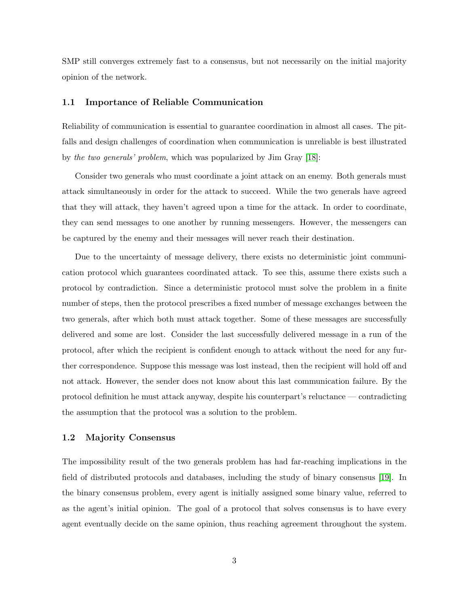SMP still converges extremely fast to a consensus, but not necessarily on the initial majority opinion of the network.

#### 1.1 Importance of Reliable Communication

Reliability of communication is essential to guarantee coordination in almost all cases. The pitfalls and design challenges of coordination when communication is unreliable is best illustrated by *the two generals' problem*, which was popularized by Jim Gray [\[18\]](#page-37-7):

Consider two generals who must coordinate a joint attack on an enemy. Both generals must attack simultaneously in order for the attack to succeed. While the two generals have agreed that they will attack, they haven't agreed upon a time for the attack. In order to coordinate, they can send messages to one another by running messengers. However, the messengers can be captured by the enemy and their messages will never reach their destination.

Due to the uncertainty of message delivery, there exists no deterministic joint communication protocol which guarantees coordinated attack. To see this, assume there exists such a protocol by contradiction. Since a deterministic protocol must solve the problem in a finite number of steps, then the protocol prescribes a fixed number of message exchanges between the two generals, after which both must attack together. Some of these messages are successfully delivered and some are lost. Consider the last successfully delivered message in a run of the protocol, after which the recipient is confident enough to attack without the need for any further correspondence. Suppose this message was lost instead, then the recipient will hold off and not attack. However, the sender does not know about this last communication failure. By the protocol definition he must attack anyway, despite his counterpart's reluctance — contradicting the assumption that the protocol was a solution to the problem.

#### 1.2 Majority Consensus

The impossibility result of the two generals problem has had far-reaching implications in the field of distributed protocols and databases, including the study of binary consensus [\[19\]](#page-37-8). In the binary consensus problem, every agent is initially assigned some binary value, referred to as the agent's initial opinion. The goal of a protocol that solves consensus is to have every agent eventually decide on the same opinion, thus reaching agreement throughout the system.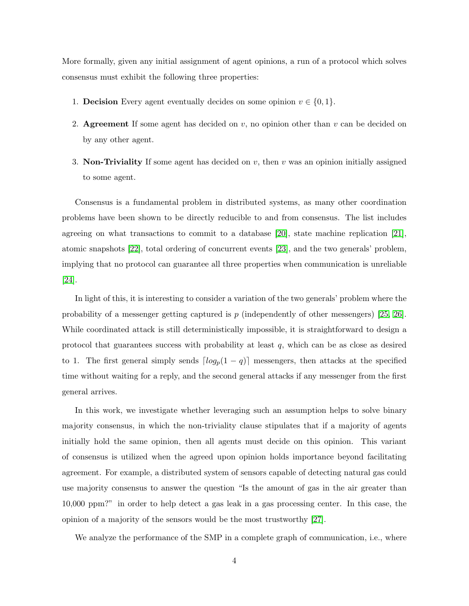More formally, given any initial assignment of agent opinions, a run of a protocol which solves consensus must exhibit the following three properties:

- 1. **Decision** Every agent eventually decides on some opinion  $v \in \{0, 1\}$ .
- 2. Agreement If some agent has decided on  $v$ , no opinion other than  $v$  can be decided on by any other agent.
- 3. Non-Triviality If some agent has decided on  $v$ , then  $v$  was an opinion initially assigned to some agent.

Consensus is a fundamental problem in distributed systems, as many other coordination problems have been shown to be directly reducible to and from consensus. The list includes agreeing on what transactions to commit to a database [\[20\]](#page-37-9), state machine replication [\[21\]](#page-37-10), atomic snapshots [\[22\]](#page-37-11), total ordering of concurrent events [\[23\]](#page-37-12), and the two generals' problem, implying that no protocol can guarantee all three properties when communication is unreliable [\[24\]](#page-38-0).

In light of this, it is interesting to consider a variation of the two generals' problem where the probability of a messenger getting captured is p (independently of other messengers) [\[25,](#page-38-1) [26\]](#page-38-2). While coordinated attack is still deterministically impossible, it is straightforward to design a protocol that guarantees success with probability at least  $q$ , which can be as close as desired to 1. The first general simply sends  $\lceil log_p(1 - q) \rceil$  messengers, then attacks at the specified time without waiting for a reply, and the second general attacks if any messenger from the first general arrives.

In this work, we investigate whether leveraging such an assumption helps to solve binary majority consensus, in which the non-triviality clause stipulates that if a majority of agents initially hold the same opinion, then all agents must decide on this opinion. This variant of consensus is utilized when the agreed upon opinion holds importance beyond facilitating agreement. For example, a distributed system of sensors capable of detecting natural gas could use majority consensus to answer the question "Is the amount of gas in the air greater than 10,000 ppm?" in order to help detect a gas leak in a gas processing center. In this case, the opinion of a majority of the sensors would be the most trustworthy [\[27\]](#page-38-3).

We analyze the performance of the SMP in a complete graph of communication, i.e., where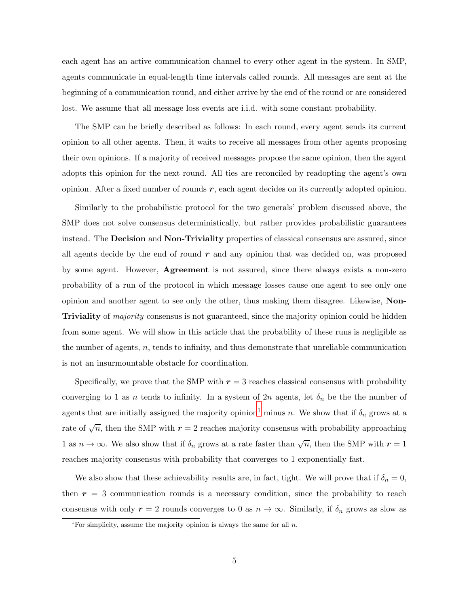each agent has an active communication channel to every other agent in the system. In SMP, agents communicate in equal-length time intervals called rounds. All messages are sent at the beginning of a communication round, and either arrive by the end of the round or are considered lost. We assume that all message loss events are i.i.d. with some constant probability.

The SMP can be briefly described as follows: In each round, every agent sends its current opinion to all other agents. Then, it waits to receive all messages from other agents proposing their own opinions. If a majority of received messages propose the same opinion, then the agent adopts this opinion for the next round. All ties are reconciled by readopting the agent's own opinion. After a fixed number of rounds  $r$ , each agent decides on its currently adopted opinion.

Similarly to the probabilistic protocol for the two generals' problem discussed above, the SMP does not solve consensus deterministically, but rather provides probabilistic guarantees instead. The **Decision** and **Non-Triviality** properties of classical consensus are assured, since all agents decide by the end of round  $r$  and any opinion that was decided on, was proposed by some agent. However, Agreement is not assured, since there always exists a non-zero probability of a run of the protocol in which message losses cause one agent to see only one opinion and another agent to see only the other, thus making them disagree. Likewise, Non-Triviality of *majority* consensus is not guaranteed, since the majority opinion could be hidden from some agent. We will show in this article that the probability of these runs is negligible as the number of agents,  $n$ , tends to infinity, and thus demonstrate that unreliable communication is not an insurmountable obstacle for coordination.

Specifically, we prove that the SMP with  $r = 3$  reaches classical consensus with probability converging to 1 as n tends to infinity. In a system of 2n agents, let  $\delta_n$  be the the number of agents that are initially assigned the majority opinion<sup>[1](#page-4-0)</sup> minus n. We show that if  $\delta_n$  grows at a rate of  $\sqrt{n}$ , then the SMP with  $r = 2$  reaches majority consensus with probability approaching 1 as  $n \to \infty$ . We also show that if  $\delta_n$  grows at a rate faster than  $\sqrt{n}$ , then the SMP with  $r = 1$ reaches majority consensus with probability that converges to 1 exponentially fast.

We also show that these achievability results are, in fact, tight. We will prove that if  $\delta_n = 0$ , then  $r = 3$  communication rounds is a necessary condition, since the probability to reach consensus with only  $r = 2$  rounds converges to 0 as  $n \to \infty$ . Similarly, if  $\delta_n$  grows as slow as

<span id="page-4-0"></span><sup>&</sup>lt;sup>1</sup>For simplicity, assume the majority opinion is always the same for all  $n$ .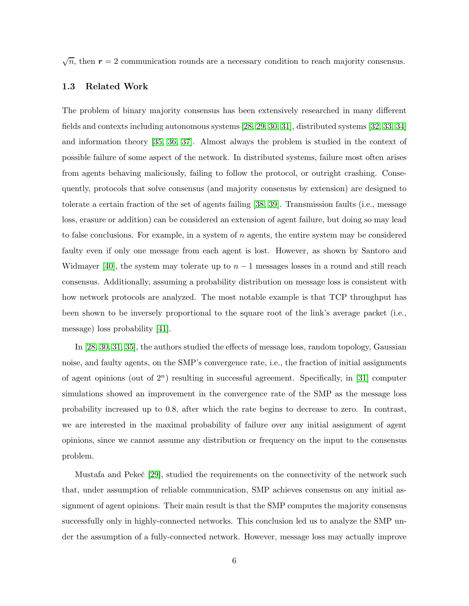$\sqrt{n}$ , then  $r = 2$  communication rounds are a necessary condition to reach majority consensus.

#### 1.3 Related Work

The problem of binary majority consensus has been extensively researched in many different fields and contexts including autonomous systems [\[28,](#page-38-4) [29,](#page-38-5) [30,](#page-38-6) [31\]](#page-38-7), distributed systems [\[32,](#page-38-8) [33,](#page-38-9) [34\]](#page-38-10) and information theory [\[35,](#page-39-0) [36,](#page-39-1) [37\]](#page-39-2). Almost always the problem is studied in the context of possible failure of some aspect of the network. In distributed systems, failure most often arises from agents behaving maliciously, failing to follow the protocol, or outright crashing. Consequently, protocols that solve consensus (and majority consensus by extension) are designed to tolerate a certain fraction of the set of agents failing [\[38,](#page-39-3) [39\]](#page-39-4). Transmission faults (i.e., message loss, erasure or addition) can be considered an extension of agent failure, but doing so may lead to false conclusions. For example, in a system of  $n$  agents, the entire system may be considered faulty even if only one message from each agent is lost. However, as shown by Santoro and Widmayer [\[40\]](#page-39-5), the system may tolerate up to  $n-1$  messages losses in a round and still reach consensus. Additionally, assuming a probability distribution on message loss is consistent with how network protocols are analyzed. The most notable example is that TCP throughput has been shown to be inversely proportional to the square root of the link's average packet (i.e., message) loss probability [\[41\]](#page-39-6).

In [\[28,](#page-38-4) [30,](#page-38-6) [31,](#page-38-7) [35\]](#page-39-0), the authors studied the effects of message loss, random topology, Gaussian noise, and faulty agents, on the SMP's convergence rate, i.e., the fraction of initial assignments of agent opinions (out of  $2^n$ ) resulting in successful agreement. Specifically, in [\[31\]](#page-38-7) computer simulations showed an improvement in the convergence rate of the SMP as the message loss probability increased up to 0.8, after which the rate begins to decrease to zero. In contrast, we are interested in the maximal probability of failure over any initial assignment of agent opinions, since we cannot assume any distribution or frequency on the input to the consensus problem.

Mustafa and Pekeč [\[29\]](#page-38-5), studied the requirements on the connectivity of the network such that, under assumption of reliable communication, SMP achieves consensus on any initial assignment of agent opinions. Their main result is that the SMP computes the majority consensus successfully only in highly-connected networks. This conclusion led us to analyze the SMP under the assumption of a fully-connected network. However, message loss may actually improve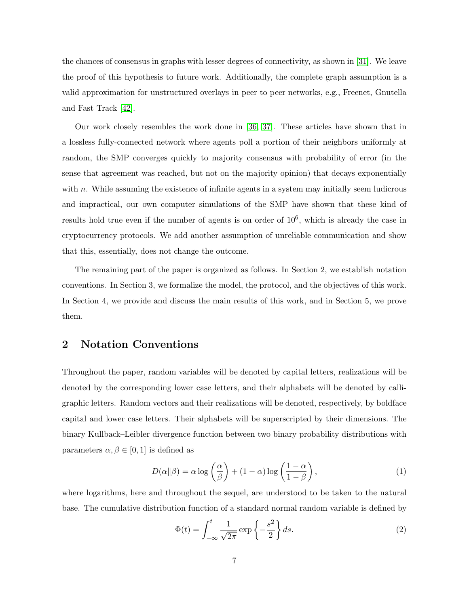the chances of consensus in graphs with lesser degrees of connectivity, as shown in [\[31\]](#page-38-7). We leave the proof of this hypothesis to future work. Additionally, the complete graph assumption is a valid approximation for unstructured overlays in peer to peer networks, e.g., Freenet, Gnutella and Fast Track [\[42\]](#page-39-7).

Our work closely resembles the work done in [\[36,](#page-39-1) [37\]](#page-39-2). These articles have shown that in a lossless fully-connected network where agents poll a portion of their neighbors uniformly at random, the SMP converges quickly to majority consensus with probability of error (in the sense that agreement was reached, but not on the majority opinion) that decays exponentially with  $n$ . While assuming the existence of infinite agents in a system may initially seem ludicrous and impractical, our own computer simulations of the SMP have shown that these kind of results hold true even if the number of agents is on order of  $10<sup>6</sup>$ , which is already the case in cryptocurrency protocols. We add another assumption of unreliable communication and show that this, essentially, does not change the outcome.

The remaining part of the paper is organized as follows. In Section 2, we establish notation conventions. In Section 3, we formalize the model, the protocol, and the objectives of this work. In Section 4, we provide and discuss the main results of this work, and in Section 5, we prove them.

### 2 Notation Conventions

Throughout the paper, random variables will be denoted by capital letters, realizations will be denoted by the corresponding lower case letters, and their alphabets will be denoted by calligraphic letters. Random vectors and their realizations will be denoted, respectively, by boldface capital and lower case letters. Their alphabets will be superscripted by their dimensions. The binary Kullback–Leibler divergence function between two binary probability distributions with parameters  $\alpha, \beta \in [0, 1]$  is defined as

$$
D(\alpha||\beta) = \alpha \log \left(\frac{\alpha}{\beta}\right) + (1 - \alpha) \log \left(\frac{1 - \alpha}{1 - \beta}\right),\tag{1}
$$

where logarithms, here and throughout the sequel, are understood to be taken to the natural base. The cumulative distribution function of a standard normal random variable is defined by

<span id="page-6-1"></span><span id="page-6-0"></span>
$$
\Phi(t) = \int_{-\infty}^{t} \frac{1}{\sqrt{2\pi}} \exp\left\{-\frac{s^2}{2}\right\} ds.
$$
\n(2)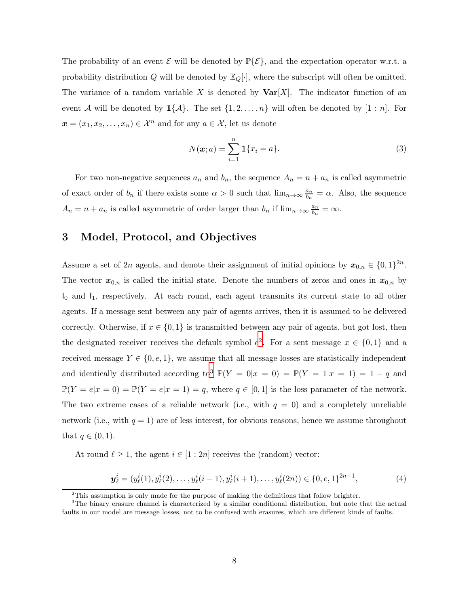The probability of an event  $\mathcal E$  will be denoted by  $\mathbb P\{\mathcal E\}$ , and the expectation operator w.r.t. a probability distribution Q will be denoted by  $\mathbb{E}_Q[\cdot]$ , where the subscript will often be omitted. The variance of a random variable X is denoted by  $\text{Var}[X]$ . The indicator function of an event A will be denoted by  $\mathbb{1}{\{\mathcal{A}\}}$ . The set  $\{1, 2, ..., n\}$  will often be denoted by  $[1:n]$ . For  $\boldsymbol{x} = (x_1, x_2, \dots, x_n) \in \mathcal{X}^n$  and for any  $a \in \mathcal{X}$ , let us denote

$$
N(\boldsymbol{x}; a) = \sum_{i=1}^{n} \mathbb{1}\{x_i = a\}.
$$
 (3)

For two non-negative sequences  $a_n$  and  $b_n$ , the sequence  $A_n = n + a_n$  is called asymmetric of exact order of  $b_n$  if there exists some  $\alpha > 0$  such that  $\lim_{n \to \infty} \frac{a_n}{b_n}$  $\frac{a_n}{b_n} = \alpha$ . Also, the sequence  $A_n = n + a_n$  is called asymmetric of order larger than  $b_n$  if  $\lim_{n \to \infty} \frac{a_n}{b_n}$  $\frac{a_n}{b_n} = \infty.$ 

### 3 Model, Protocol, and Objectives

Assume a set of 2n agents, and denote their assignment of initial opinions by  $x_{0,n} \in \{0,1\}^{2n}$ . The vector  $x_{0,n}$  is called the initial state. Denote the numbers of zeros and ones in  $x_{0,n}$  by  $I_0$  and  $I_1$ , respectively. At each round, each agent transmits its current state to all other agents. If a message sent between any pair of agents arrives, then it is assumed to be delivered correctly. Otherwise, if  $x \in \{0,1\}$  is transmitted between any pair of agents, but got lost, then the designated receiver receives the default symbol  $e^2$  $e^2$ . For a sent message  $x \in \{0,1\}$  and a received message  $Y \in \{0, e, 1\}$ , we assume that all message losses are statistically independent and identically distributed according to<sup>[3](#page-7-1)</sup>  $\mathbb{P}(Y = 0|x = 0) = \mathbb{P}(Y = 1|x = 1) = 1 - q$  and  $\mathbb{P}(Y = e|x = 0) = \mathbb{P}(Y = e|x = 1) = q$ , where  $q \in [0, 1]$  is the loss parameter of the network. The two extreme cases of a reliable network (i.e., with  $q = 0$ ) and a completely unreliable network (i.e., with  $q = 1$ ) are of less interest, for obvious reasons, hence we assume throughout that  $q \in (0,1)$ .

At round  $\ell \geq 1$ , the agent  $i \in [1:2n]$  receives the (random) vector:

$$
\mathbf{y}_{\ell}^{i} = (y_{\ell}^{i}(1), y_{\ell}^{i}(2), \dots, y_{\ell}^{i}(i-1), y_{\ell}^{i}(i+1), \dots, y_{\ell}^{i}(2n)) \in \{0, e, 1\}^{2n-1},
$$
\n(4)

<span id="page-7-0"></span> $2$ This assumption is only made for the purpose of making the definitions that follow brighter.

<span id="page-7-1"></span><sup>3</sup>The binary erasure channel is characterized by a similar conditional distribution, but note that the actual faults in our model are message losses, not to be confused with erasures, which are different kinds of faults.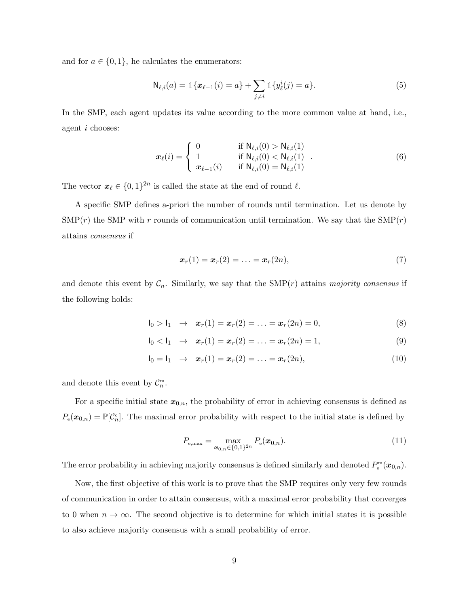and for  $a \in \{0,1\}$ , he calculates the enumerators:

$$
\mathsf{N}_{\ell,i}(a) = \mathbb{1}\{\boldsymbol{x}_{\ell-1}(i) = a\} + \sum_{j \neq i} \mathbb{1}\{y_{\ell}^{i}(j) = a\}.
$$
\n(5)

In the SMP, each agent updates its value according to the more common value at hand, i.e., agent i chooses:

$$
\boldsymbol{x}_{\ell}(i) = \begin{cases}\n0 & \text{if } \mathsf{N}_{\ell,i}(0) > \mathsf{N}_{\ell,i}(1) \\
1 & \text{if } \mathsf{N}_{\ell,i}(0) < \mathsf{N}_{\ell,i}(1) \\
\boldsymbol{x}_{\ell-1}(i) & \text{if } \mathsf{N}_{\ell,i}(0) = \mathsf{N}_{\ell,i}(1)\n\end{cases} (6)
$$

The vector  $\boldsymbol{x}_{\ell} \in \{0,1\}^{2n}$  is called the state at the end of round  $\ell$ .

A specific SMP defines a-priori the number of rounds until termination. Let us denote by  $\text{SMP}(r)$  the SMP with r rounds of communication until termination. We say that the  $\text{SMP}(r)$ attains *consensus* if

$$
x_r(1) = x_r(2) = \ldots = x_r(2n), \tag{7}
$$

and denote this event by  $C_n$ . Similarly, we say that the  $\text{SMP}(r)$  attains *majority consensus* if the following holds:

$$
I_0 > I_1 \rightarrow x_r(1) = x_r(2) = \ldots = x_r(2n) = 0,
$$
\n(8)

$$
I_0 < I_1 \rightarrow x_r(1) = x_r(2) = \ldots = x_r(2n) = 1,
$$
\n(9)

$$
I_0 = I_1 \rightarrow \mathbf{x}_r(1) = \mathbf{x}_r(2) = \ldots = \mathbf{x}_r(2n), \qquad (10)
$$

and denote this event by  $C_n^m$ .

For a specific initial state  $x_{0,n}$ , the probability of error in achieving consensus is defined as  $P_e(\mathbf{x}_{0,n}) = \mathbb{P}[\mathcal{C}_n]$ . The maximal error probability with respect to the initial state is defined by

$$
P_{e,\max} = \max_{\boldsymbol{x}_{0,n} \in \{0,1\}^{2n}} P_e(\boldsymbol{x}_{0,n}).
$$
\n(11)

The error probability in achieving majority consensus is defined similarly and denoted  $P_e^m(\bm{x}_{0,n})$ .

Now, the first objective of this work is to prove that the SMP requires only very few rounds of communication in order to attain consensus, with a maximal error probability that converges to 0 when  $n \to \infty$ . The second objective is to determine for which initial states it is possible to also achieve majority consensus with a small probability of error.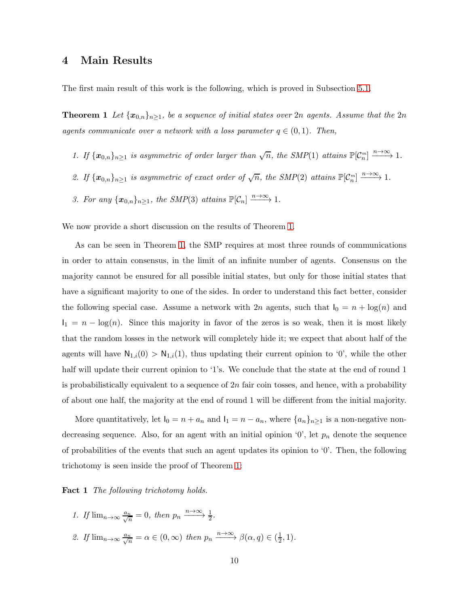### 4 Main Results

<span id="page-9-0"></span>The first main result of this work is the following, which is proved in Subsection [5.1.](#page-12-0)

**Theorem 1** Let  $\{x_{0,n}\}_{n\geq1}$ , be a sequence of initial states over 2n agents. Assume that the 2n *agents communicate over a network with a loss parameter*  $q \in (0,1)$ *. Then,* 

- 1. If  $\{x_{0,n}\}_{n\geq 1}$  is asymmetric of order larger than  $\sqrt{n}$ , the SMP(1) attains  $\mathbb{P}[\mathcal{C}_n^m] \xrightarrow{n\to\infty} 1$ .
- 2. If  $\{x_{0,n}\}_{n\geq 1}$  is asymmetric of exact order of  $\sqrt{n}$ , the SMP(2) attains  $\mathbb{P}[\mathcal{C}_n^m] \xrightarrow{n\to\infty} 1$ .
- 3. For any  $\{x_{0,n}\}_{n\geq 1}$ , the SMP(3) attains  $\mathbb{P}[\mathcal{C}_n] \xrightarrow{n\to\infty} 1$ .

We now provide a short discussion on the results of Theorem [1.](#page-9-0)

As can be seen in Theorem [1,](#page-9-0) the SMP requires at most three rounds of communications in order to attain consensus, in the limit of an infinite number of agents. Consensus on the majority cannot be ensured for all possible initial states, but only for those initial states that have a significant majority to one of the sides. In order to understand this fact better, consider the following special case. Assume a network with 2n agents, such that  $I_0 = n + \log(n)$  and  $I_1 = n - \log(n)$ . Since this majority in favor of the zeros is so weak, then it is most likely that the random losses in the network will completely hide it; we expect that about half of the agents will have  $N_{1,i}(0) > N_{1,i}(1)$ , thus updating their current opinion to '0', while the other half will update their current opinion to '1's. We conclude that the state at the end of round 1 is probabilistically equivalent to a sequence of  $2n$  fair coin tosses, and hence, with a probability of about one half, the majority at the end of round 1 will be different from the initial majority.

More quantitatively, let  $I_0 = n + a_n$  and  $I_1 = n - a_n$ , where  $\{a_n\}_{n \geq 1}$  is a non-negative nondecreasing sequence. Also, for an agent with an initial opinion  $\mathcal{O}'$ , let  $p_n$  denote the sequence of probabilities of the events that such an agent updates its opinion to '0'. Then, the following trichotomy is seen inside the proof of Theorem [1:](#page-9-0)

Fact 1 *The following trichotomy holds.*

- <span id="page-9-1"></span>1. If  $\lim_{n\to\infty} \frac{a_n}{\sqrt{n}} = 0$ , then  $p_n \xrightarrow{n\to\infty} \frac{1}{2}$ .
- 2. If  $\lim_{n\to\infty} \frac{a_n}{\sqrt{n}} = \alpha \in (0,\infty)$  then  $p_n \xrightarrow{n\to\infty} \beta(\alpha,q) \in (\frac{1}{2})$  $(\frac{1}{2}, 1)$ .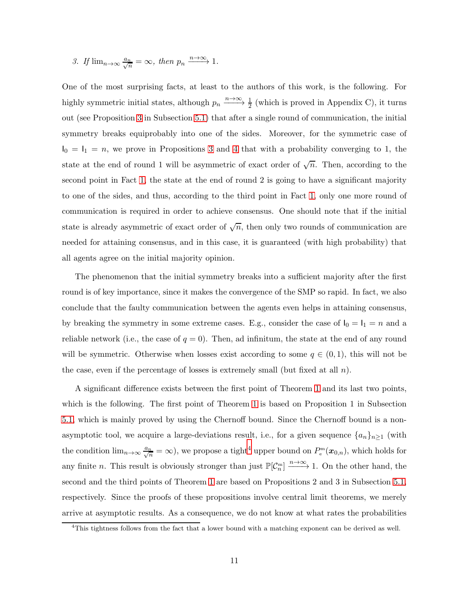3. If 
$$
\lim_{n\to\infty} \frac{a_n}{\sqrt{n}} = \infty
$$
, then  $p_n \xrightarrow{n\to\infty} 1$ .

One of the most surprising facts, at least to the authors of this work, is the following. For highly symmetric initial states, although  $p_n \xrightarrow{n \to \infty} \frac{1}{2}$  (which is proved in Appendix C), it turns out (see Proposition [3](#page-12-1) in Subsection [5.1\)](#page-12-0) that after a single round of communication, the initial symmetry breaks equiprobably into one of the sides. Moreover, for the symmetric case of  $I_0 = I_1 = n$ , we prove in Propositions [3](#page-12-1) and [4](#page-13-0) that with a probability converging to 1, the state at the end of round 1 will be asymmetric of exact order of  $\sqrt{n}$ . Then, according to the second point in Fact [1,](#page-9-1) the state at the end of round 2 is going to have a significant majority to one of the sides, and thus, according to the third point in Fact [1,](#page-9-1) only one more round of communication is required in order to achieve consensus. One should note that if the initial state is already asymmetric of exact order of  $\sqrt{n}$ , then only two rounds of communication are needed for attaining consensus, and in this case, it is guaranteed (with high probability) that all agents agree on the initial majority opinion.

The phenomenon that the initial symmetry breaks into a sufficient majority after the first round is of key importance, since it makes the convergence of the SMP so rapid. In fact, we also conclude that the faulty communication between the agents even helps in attaining consensus, by breaking the symmetry in some extreme cases. E.g., consider the case of  $I_0 = I_1 = n$  and a reliable network (i.e., the case of  $q = 0$ ). Then, ad infinitum, the state at the end of any round will be symmetric. Otherwise when losses exist according to some  $q \in (0,1)$ , this will not be the case, even if the percentage of losses is extremely small (but fixed at all  $n$ ).

A significant difference exists between the first point of Theorem [1](#page-9-0) and its last two points, which is the following. The first point of Theorem [1](#page-9-0) is based on Proposition 1 in Subsection [5.1,](#page-12-0) which is mainly proved by using the Chernoff bound. Since the Chernoff bound is a nonasymptotic tool, we acquire a large-deviations result, i.e., for a given sequence  $\{a_n\}_{n\geq 1}$  (with the condition  $\lim_{n\to\infty}\frac{a_n}{\sqrt{n}}=\infty$ , we propose a tight<sup>[4](#page-10-0)</sup> upper bound on  $P_e^m(\bm{x}_{0,n})$ , which holds for any finite *n*. This result is obviously stronger than just  $\mathbb{P}[\mathcal{C}_n^m] \xrightarrow{n \to \infty} 1$ . On the other hand, the second and the third points of Theorem [1](#page-9-0) are based on Propositions 2 and 3 in Subsection [5.1,](#page-12-0) respectively. Since the proofs of these propositions involve central limit theorems, we merely arrive at asymptotic results. As a consequence, we do not know at what rates the probabilities

<span id="page-10-0"></span><sup>&</sup>lt;sup>4</sup>This tightness follows from the fact that a lower bound with a matching exponent can be derived as well.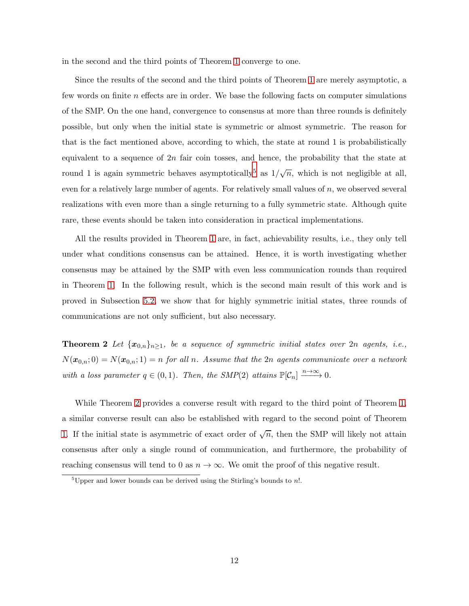in the second and the third points of Theorem [1](#page-9-0) converge to one.

Since the results of the second and the third points of Theorem [1](#page-9-0) are merely asymptotic, a few words on finite  $n$  effects are in order. We base the following facts on computer simulations of the SMP. On the one hand, convergence to consensus at more than three rounds is definitely possible, but only when the initial state is symmetric or almost symmetric. The reason for that is the fact mentioned above, according to which, the state at round 1 is probabilistically equivalent to a sequence of  $2n$  fair coin tosses, and hence, the probability that the state at round 1 is again symmetric behaves asymptotically<sup>[5](#page-11-0)</sup> as  $1/\sqrt{n}$ , which is not negligible at all, even for a relatively large number of agents. For relatively small values of  $n$ , we observed several realizations with even more than a single returning to a fully symmetric state. Although quite rare, these events should be taken into consideration in practical implementations.

All the results provided in Theorem [1](#page-9-0) are, in fact, achievability results, i.e., they only tell under what conditions consensus can be attained. Hence, it is worth investigating whether consensus may be attained by the SMP with even less communication rounds than required in Theorem [1.](#page-9-0) In the following result, which is the second main result of this work and is proved in Subsection [5.2,](#page-13-1) we show that for highly symmetric initial states, three rounds of communications are not only sufficient, but also necessary.

<span id="page-11-1"></span>**Theorem 2** Let  $\{x_{0,n}\}_{n\geq1}$ , be a sequence of symmetric initial states over 2n agents, i.e.,  $N(\mathbf{x}_{0,n}; 0) = N(\mathbf{x}_{0,n}; 1) = n$  *for all n. Assume that the* 2n *agents communicate over a network with a loss parameter*  $q \in (0, 1)$ *. Then, the SMP*(2) *attains*  $\mathbb{P}[\mathcal{C}_n] \xrightarrow{n \to \infty} 0$ *.* 

While Theorem [2](#page-11-1) provides a converse result with regard to the third point of Theorem [1,](#page-9-0) a similar converse result can also be established with regard to the second point of Theorem [1.](#page-9-0) If the initial state is asymmetric of exact order of  $\sqrt{n}$ , then the SMP will likely not attain consensus after only a single round of communication, and furthermore, the probability of reaching consensus will tend to 0 as  $n \to \infty$ . We omit the proof of this negative result.

<span id="page-11-0"></span><sup>&</sup>lt;sup>5</sup>Upper and lower bounds can be derived using the Stirling's bounds to  $n!$ .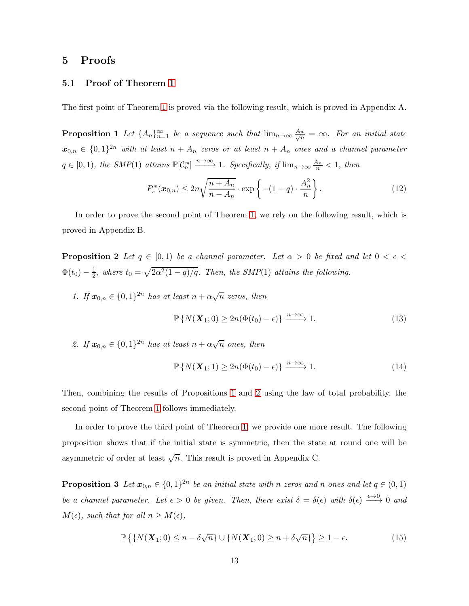### <span id="page-12-0"></span>5 Proofs

#### 5.1 Proof of Theorem [1](#page-9-0)

<span id="page-12-2"></span>The first point of Theorem [1](#page-9-0) is proved via the following result, which is proved in Appendix A.

**Proposition 1** Let  $\{A_n\}_{n=1}^{\infty}$  be a sequence such that  $\lim_{n\to\infty}\frac{A_n}{\sqrt{n}}$  $\frac{n}{n} = \infty$ *. For an initial state*  $x_{0,n} \in \{0,1\}^{2n}$  with at least  $n + A_n$  zeros or at least  $n + A_n$  ones and a channel parameter  $q \in [0, 1)$ , the SMP(1) attains  $\mathbb{P}[\mathcal{C}_n^m] \xrightarrow{n \to \infty} 1$ . Specifically, if  $\lim_{n \to \infty} \frac{A_n}{n} < 1$ , then

$$
P_e^m(\boldsymbol{x}_{0,n}) \le 2n\sqrt{\frac{n+A_n}{n-A_n}} \cdot \exp\left\{-(1-q)\cdot\frac{A_n^2}{n}\right\}.
$$
 (12)

<span id="page-12-3"></span>In order to prove the second point of Theorem [1,](#page-9-0) we rely on the following result, which is proved in Appendix B.

**Proposition 2** Let  $q \in [0,1)$  be a channel parameter. Let  $\alpha > 0$  be fixed and let  $0 < \epsilon <$  $\Phi(t_0) - \frac{1}{2}$  $\frac{1}{2}$ , where  $t_0 = \sqrt{2\alpha^2(1-q)/q}$ . Then, the SMP(1) attains the following.

*1.* If  $x_{0,n} \in \{0,1\}^{2n}$  *has at least*  $n + \alpha \sqrt{n}$  *zeros, then* 

$$
\mathbb{P}\left\{N(\boldsymbol{X}_1;0) \ge 2n(\Phi(t_0) - \epsilon)\right\} \xrightarrow{n \to \infty} 1.
$$
\n(13)

2. If  $\mathbf{x}_{0,n} \in \{0,1\}^{2n}$  has at least  $n + \alpha \sqrt{n}$  ones, then

$$
\mathbb{P}\left\{N(\boldsymbol{X}_1;1) \ge 2n(\Phi(t_0) - \epsilon)\right\} \xrightarrow{n \to \infty} 1.
$$
\n(14)

Then, combining the results of Propositions [1](#page-12-2) and [2](#page-12-3) using the law of total probability, the second point of Theorem [1](#page-9-0) follows immediately.

<span id="page-12-1"></span>In order to prove the third point of Theorem [1,](#page-9-0) we provide one more result. The following proposition shows that if the initial state is symmetric, then the state at round one will be asymmetric of order at least  $\sqrt{n}$ . This result is proved in Appendix C.

**Proposition 3** Let  $x_{0,n} \in \{0,1\}^{2n}$  be an initial state with n zeros and n ones and let  $q \in (0,1)$ *be a channel parameter. Let*  $\epsilon > 0$  *be given. Then, there exist*  $\delta = \delta(\epsilon)$  *with*  $\delta(\epsilon) \xrightarrow{\epsilon \to 0} 0$  *and*  $M(\epsilon)$ *, such that for all*  $n \geq M(\epsilon)$ *,* 

$$
\mathbb{P}\left\{\left\{N(\boldsymbol{X}_1;0)\leq n-\delta\sqrt{n}\right\}\cup\left\{N(\boldsymbol{X}_1;0)\geq n+\delta\sqrt{n}\right\}\right\}\geq 1-\epsilon.
$$
\n(15)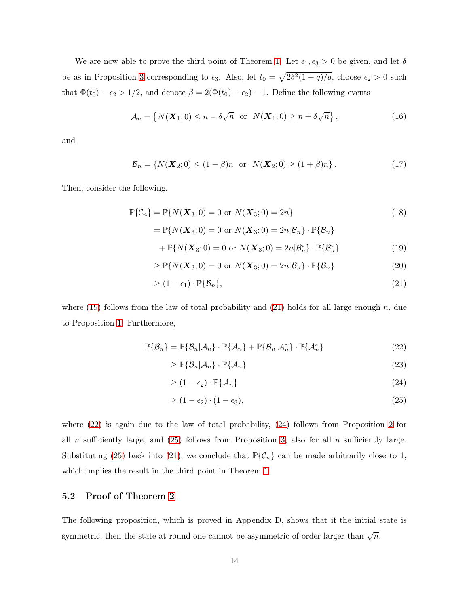We are now able to prove the third point of Theorem [1.](#page-9-0) Let  $\epsilon_1, \epsilon_3 > 0$  be given, and let  $\delta$ be as in Proposition [3](#page-12-1) corresponding to  $\epsilon_3$ . Also, let  $t_0 = \sqrt{2\delta^2(1-q)/q}$ , choose  $\epsilon_2 > 0$  such that  $\Phi(t_0) - \epsilon_2 > 1/2$ , and denote  $\beta = 2(\Phi(t_0) - \epsilon_2) - 1$ . Define the following events

$$
\mathcal{A}_n = \left\{ N(\boldsymbol{X}_1; 0) \le n - \delta \sqrt{n} \text{ or } N(\boldsymbol{X}_1; 0) \ge n + \delta \sqrt{n} \right\},\tag{16}
$$

and

$$
\mathcal{B}_n = \{ N(\mathbf{X}_2; 0) \le (1 - \beta)n \text{ or } N(\mathbf{X}_2; 0) \ge (1 + \beta)n \}.
$$
 (17)

Then, consider the following.

$$
\mathbb{P}\{\mathcal{C}_n\} = \mathbb{P}\{N(\boldsymbol{X}_3;0) = 0 \text{ or } N(\boldsymbol{X}_3;0) = 2n\}
$$
(18)  
\n
$$
= \mathbb{P}\{N(\boldsymbol{X}_3;0) = 0 \text{ or } N(\boldsymbol{X}_3;0) = 2n|\mathcal{B}_n\} \cdot \mathbb{P}\{\mathcal{B}_n\}
$$
  
\n
$$
+ \mathbb{P}\{N(\boldsymbol{X}_3;0) = 0 \text{ or } N(\boldsymbol{X}_3;0) = 2n|\mathcal{B}_n^c\} \cdot \mathbb{P}\{\mathcal{B}_n^c\}
$$
(19)

$$
\geq \mathbb{P}\{N(\boldsymbol{X}_3;0) = 0 \text{ or } N(\boldsymbol{X}_3;0) = 2n|\mathcal{B}_n\} \cdot \mathbb{P}\{\mathcal{B}_n\} \tag{20}
$$

$$
\geq (1 - \epsilon_1) \cdot \mathbb{P}\{\mathcal{B}_n\},\tag{21}
$$

where [\(19\)](#page-33-0) follows from the law of total probability and [\(21\)](#page-34-0) holds for all large enough n, due to Proposition [1.](#page-12-2) Furthermore,

$$
\mathbb{P}\{\mathcal{B}_n\} = \mathbb{P}\{\mathcal{B}_n|\mathcal{A}_n\} \cdot \mathbb{P}\{\mathcal{A}_n\} + \mathbb{P}\{\mathcal{B}_n|\mathcal{A}_n^c\} \cdot \mathbb{P}\{\mathcal{A}_n^c\}
$$
 (22)

$$
\geq \mathbb{P}\{\mathcal{B}_n|\mathcal{A}_n\}\cdot \mathbb{P}\{\mathcal{A}_n\} \tag{23}
$$

$$
\geq (1 - \epsilon_2) \cdot \mathbb{P}\{\mathcal{A}_n\} \tag{24}
$$

$$
\geq (1 - \epsilon_2) \cdot (1 - \epsilon_3),\tag{25}
$$

where [\(22\)](#page-34-1) is again due to the law of total probability, [\(24\)](#page-34-2) follows from Proposition [2](#page-12-3) for all n sufficiently large, and  $(25)$  follows from Proposition [3,](#page-12-1) also for all n sufficiently large. Substituting [\(25\)](#page-34-3) back into [\(21\)](#page-34-0), we conclude that  $\mathbb{P}\{\mathcal{C}_n\}$  can be made arbitrarily close to 1, which implies the result in the third point in Theorem [1.](#page-9-0)

### <span id="page-13-1"></span>5.2 Proof of Theorem [2](#page-11-1)

<span id="page-13-0"></span>The following proposition, which is proved in Appendix D, shows that if the initial state is symmetric, then the state at round one cannot be asymmetric of order larger than  $\sqrt{n}$ .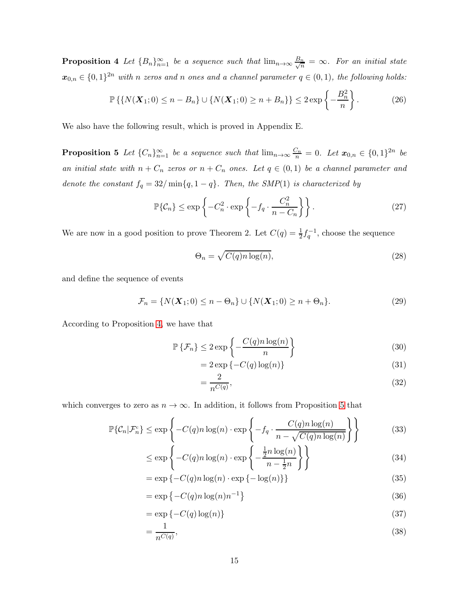**Proposition 4** Let  ${B_n}_{n=1}^{\infty}$  be a sequence such that  $\lim_{n\to\infty}\frac{B_n}{\sqrt{n}}$  $\frac{n}{n} = \infty$ . For an initial state  $x_{0,n} \in \{0,1\}^{2n}$  with n zeros and n ones and a channel parameter  $q \in (0,1)$ , the following holds:

$$
\mathbb{P}\left\{ \{ N(\boldsymbol{X}_1;0) \le n - B_n \} \cup \{ N(\boldsymbol{X}_1;0) \ge n + B_n \} \right\} \le 2 \exp\left\{ -\frac{B_n^2}{n} \right\}.
$$
 (26)

<span id="page-14-0"></span>We also have the following result, which is proved in Appendix E.

**Proposition 5** Let  ${C_n}_{n=1}^{\infty}$  be a sequence such that  $\lim_{n\to\infty} \frac{C_n}{n} = 0$ . Let  $x_{0,n} \in \{0,1\}^{2n}$  be *an initial state with*  $n + C_n$  *zeros or*  $n + C_n$  *ones. Let*  $q \in (0,1)$  *be a channel parameter and denote the constant*  $f_q = 32/\min\{q, 1-q\}$ *. Then, the SMP*(1) *is characterized by* 

$$
\mathbb{P}\{\mathcal{C}_n\} \le \exp\left\{-C_n^2 \cdot \exp\left\{-f_q \cdot \frac{C_n^2}{n - C_n}\right\}\right\}.
$$
\n(27)

We are now in a good position to prove Theorem 2. Let  $C(q) = \frac{1}{2} f_q^{-1}$ , choose the sequence

$$
\Theta_n = \sqrt{C(q)n \log(n)},\tag{28}
$$

and define the sequence of events

$$
\mathcal{F}_n = \{N(\boldsymbol{X}_1;0) \le n - \Theta_n\} \cup \{N(\boldsymbol{X}_1;0) \ge n + \Theta_n\}.
$$
\n(29)

According to Proposition [4,](#page-13-0) we have that

$$
\mathbb{P}\left\{\mathcal{F}_n\right\} \le 2\exp\left\{-\frac{C(q)n\log(n)}{n}\right\} \tag{30}
$$

$$
= 2 \exp\left\{-C(q) \log(n)\right\} \tag{31}
$$

$$
=\frac{2}{n^{C(q)}},\tag{32}
$$

which converges to zero as  $n \to \infty$ . In addition, it follows from Proposition [5](#page-14-0) that

$$
\mathbb{P}\{\mathcal{C}_n|\mathcal{F}_n^c\} \le \exp\left\{-C(q)n\log(n)\cdot \exp\left\{-f_q \cdot \frac{C(q)n\log(n)}{n-\sqrt{C(q)n\log(n)}}\right\}\right\} \tag{33}
$$

$$
\leq \exp\left\{-C(q)n\log(n)\cdot \exp\left\{-\frac{\frac{1}{2}n\log(n)}{n-\frac{1}{2}n}\right\}\right\} \tag{34}
$$

$$
= \exp\{-C(q)n\log(n)\cdot \exp\{-\log(n)\}\}\tag{35}
$$

$$
= \exp\left\{-C(q)n\log(n)n^{-1}\right\} \tag{36}
$$

$$
= \exp\{-C(q)\log(n)\}\tag{37}
$$

$$
=\frac{1}{n^{C(q)}},\tag{38}
$$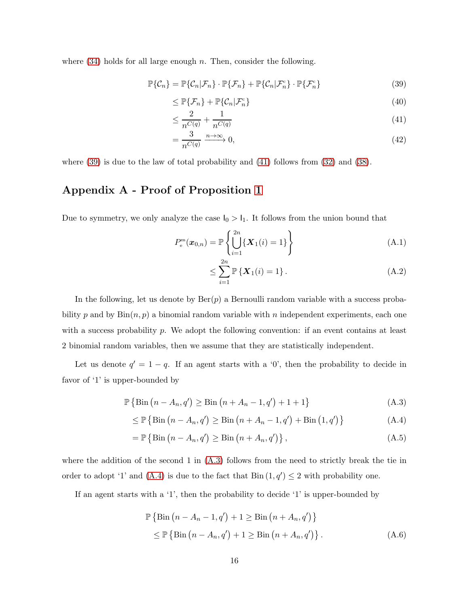where  $(34)$  holds for all large enough n. Then, consider the following.

$$
\mathbb{P}\{\mathcal{C}_n\} = \mathbb{P}\{\mathcal{C}_n|\mathcal{F}_n\} \cdot \mathbb{P}\{\mathcal{F}_n\} + \mathbb{P}\{\mathcal{C}_n|\mathcal{F}_n^c\} \cdot \mathbb{P}\{\mathcal{F}_n^c\}
$$
(39)

$$
\leq \mathbb{P}\{\mathcal{F}_n\} + \mathbb{P}\{\mathcal{C}_n|\mathcal{F}_n^c\} \tag{40}
$$

$$
\leq \frac{2}{n^{C(q)}} + \frac{1}{n^{C(q)}}\tag{41}
$$

$$
=\frac{3}{n^{C(q)}} \xrightarrow{n \to \infty} 0,\tag{42}
$$

where [\(39\)](#page-27-0) is due to the law of total probability and [\(41\)](#page-27-1) follows from [\(32\)](#page-35-1) and [\(38\)](#page-35-2).

## Appendix A - Proof of Proposition [1](#page-12-2)

Due to symmetry, we only analyze the case  $I_0 > I_1$ . It follows from the union bound that

$$
P_{\rm e}^{\rm m}(\boldsymbol{x}_{0,n}) = \mathbb{P}\left\{\bigcup_{i=1}^{2n} \{\boldsymbol{X}_1(i) = 1\}\right\} \tag{A.1}
$$

$$
\leq \sum_{i=1}^{2n} \mathbb{P}\left\{ \boldsymbol{X}_1(i) = 1 \right\}. \tag{A.2}
$$

In the following, let us denote by  $\text{Ber}(p)$  a Bernoulli random variable with a success probability p and by  $\text{Bin}(n, p)$  a binomial random variable with n independent experiments, each one with a success probability  $p$ . We adopt the following convention: if an event contains at least 2 binomial random variables, then we assume that they are statistically independent.

Let us denote  $q' = 1 - q$ . If an agent starts with a '0', then the probability to decide in favor of '1' is upper-bounded by

$$
\mathbb{P}\left\{\text{Bin}\left(n - A_n, q'\right) \geq \text{Bin}\left(n + A_n - 1, q'\right) + 1 + 1\right\} \tag{A.3}
$$

$$
\leq \mathbb{P}\left\{\text{Bin}\left(n - A_n, q'\right) \geq \text{Bin}\left(n + A_n - 1, q'\right) + \text{Bin}\left(1, q'\right)\right\} \tag{A.4}
$$

$$
= \mathbb{P}\left\{\text{Bin}\left(n - A_n, q'\right) \geq \text{Bin}\left(n + A_n, q'\right)\right\},\tag{A.5}
$$

where the addition of the second 1 in  $(A.3)$  follows from the need to strictly break the tie in order to adopt '1' and [\(A.4\)](#page-32-1) is due to the fact that  $\text{Bin}(1, q') \leq 2$  with probability one.

If an agent starts with a '1', then the probability to decide '1' is upper-bounded by

$$
\mathbb{P}\left\{\text{Bin}\left(n - A_n - 1, q'\right) + 1 \ge \text{Bin}\left(n + A_n, q'\right)\right\}
$$
  

$$
\le \mathbb{P}\left\{\text{Bin}\left(n - A_n, q'\right) + 1 \ge \text{Bin}\left(n + A_n, q'\right)\right\}. \tag{A.6}
$$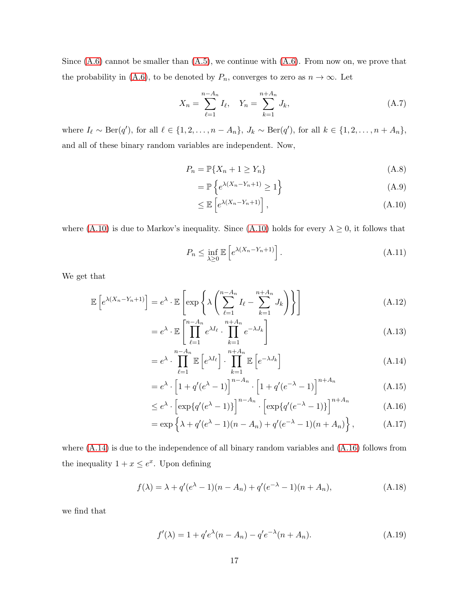Since  $(A.6)$  cannot be smaller than  $(A.5)$ , we continue with  $(A.6)$ . From now on, we prove that the probability in [\(A.6\)](#page-32-2), to be denoted by  $P_n$ , converges to zero as  $n \to \infty$ . Let

$$
X_n = \sum_{\ell=1}^{n-A_n} I_\ell, \quad Y_n = \sum_{k=1}^{n+A_n} J_k,
$$
 (A.7)

where  $I_{\ell} \sim \text{Ber}(q')$ , for all  $\ell \in \{1, 2, \ldots, n - A_n\}$ ,  $J_k \sim \text{Ber}(q')$ , for all  $k \in \{1, 2, \ldots, n + A_n\}$ , and all of these binary random variables are independent. Now,

$$
P_n = \mathbb{P}\{X_n + 1 \ge Y_n\} \tag{A.8}
$$

$$
= \mathbb{P}\left\{e^{\lambda(X_n - Y_n + 1)} \ge 1\right\} \tag{A.9}
$$

$$
\leq \mathbb{E}\left[e^{\lambda(X_n - Y_n + 1)}\right],\tag{A.10}
$$

where [\(A.10\)](#page-33-1) is due to Markov's inequality. Since (A.10) holds for every  $\lambda \geq 0$ , it follows that

$$
P_n \le \inf_{\lambda \ge 0} \mathbb{E}\left[e^{\lambda (X_n - Y_n + 1)}\right]. \tag{A.11}
$$

We get that

$$
\mathbb{E}\left[e^{\lambda(X_n - Y_n + 1)}\right] = e^{\lambda} \cdot \mathbb{E}\left[\exp\left\{\lambda \left(\sum_{\ell=1}^{n-A_n} I_{\ell} - \sum_{k=1}^{n+A_n} J_k\right)\right\}\right]
$$
\n(A.12)

$$
= e^{\lambda} \cdot \mathbb{E} \left[ \prod_{\ell=1}^{n-A_n} e^{\lambda I_{\ell}} \cdot \prod_{k=1}^{n+A_n} e^{-\lambda J_k} \right]
$$
(A.13)

$$
= e^{\lambda} \cdot \prod_{\ell=1}^{n-A_n} \mathbb{E}\left[e^{\lambda I_{\ell}}\right] \cdot \prod_{k=1}^{n+A_n} \mathbb{E}\left[e^{-\lambda J_k}\right]
$$
\n(A.14)

$$
= e^{\lambda} \cdot \left[ 1 + q'(e^{\lambda} - 1) \right]^{n - A_n} \cdot \left[ 1 + q'(e^{-\lambda} - 1) \right]^{n + A_n}
$$
 (A.15)

$$
\leq e^{\lambda} \cdot \left[ \exp\{q'(e^{\lambda} - 1)\} \right]^{n - A_n} \cdot \left[ \exp\{q'(e^{-\lambda} - 1)\} \right]^{n + A_n} \tag{A.16}
$$

$$
= \exp \left\{ \lambda + q'(e^{\lambda} - 1)(n - A_n) + q'(e^{-\lambda} - 1)(n + A_n) \right\}, \tag{A.17}
$$

where  $(A.14)$  is due to the independence of all binary random variables and  $(A.16)$  follows from the inequality  $1 + x \leq e^x$ . Upon defining

$$
f(\lambda) = \lambda + q'(e^{\lambda} - 1)(n - A_n) + q'(e^{-\lambda} - 1)(n + A_n),
$$
 (A.18)

we find that

$$
f'(\lambda) = 1 + q'e^{\lambda}(n - A_n) - q'e^{-\lambda}(n + A_n).
$$
 (A.19)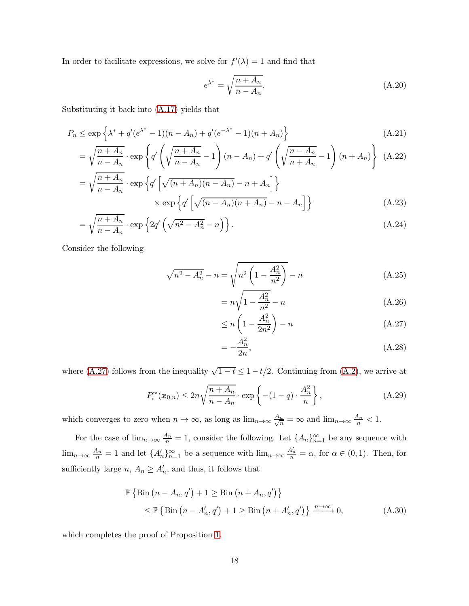In order to facilitate expressions, we solve for  $f'(\lambda) = 1$  and find that

$$
e^{\lambda^*} = \sqrt{\frac{n + A_n}{n - A_n}}.\tag{A.20}
$$

Substituting it back into [\(A.17\)](#page-33-4) yields that

$$
P_n \le \exp\left\{\lambda^* + q'(e^{\lambda^*} - 1)(n - A_n) + q'(e^{-\lambda^*} - 1)(n + A_n)\right\}
$$
\n(A.21)

$$
= \sqrt{\frac{n+A_n}{n-A_n}} \cdot \exp\left\{ q' \left( \sqrt{\frac{n+A_n}{n-A_n}} - 1 \right) (n-A_n) + q' \left( \sqrt{\frac{n-A_n}{n+A_n}} - 1 \right) (n+A_n) \right\} (A.22)
$$
  

$$
\sqrt{n+A_n} \left[ \sqrt{\frac{n-A_n}{n-A_n}} - 1 \right] (n+A_n)
$$

$$
= \sqrt{\frac{n+A_n}{n-A_n}} \cdot \exp\left\{ q' \left[ \sqrt{(n+A_n)(n-A_n)} - n + A_n \right] \right\}
$$

$$
\times \exp\left\{ q' \left[ \sqrt{(n-A_n)(n+A_n)} - n - A_n \right] \right\}
$$
(A.23)

$$
= \sqrt{\frac{n+A_n}{n-A_n}} \cdot \exp\left\{2q'\left(\sqrt{n^2-A_n^2} - n\right)\right\}.
$$
\n(A.24)

Consider the following

$$
\sqrt{n^2 - A_n^2} - n = \sqrt{n^2 \left(1 - \frac{A_n^2}{n^2}\right)} - n
$$
\n(A.25)

$$
= n\sqrt{1 - \frac{A_n^2}{n^2}} - n
$$
 (A.26)

$$
\leq n \left( 1 - \frac{A_n^2}{2n^2} \right) - n \tag{A.27}
$$

$$
=-\frac{A_n^2}{2n},\tag{A.28}
$$

where [\(A.27\)](#page-35-3) follows from the inequality  $\sqrt{1-t} \leq 1-t/2$ . Continuing from [\(A.2\)](#page-32-4), we arrive at

$$
P_e^{\mathfrak{m}}(\boldsymbol{x}_{0,n}) \le 2n\sqrt{\frac{n+A_n}{n-A_n}} \cdot \exp\left\{-(1-q)\cdot\frac{A_n^2}{n}\right\},\tag{A.29}
$$

which converges to zero when  $n \to \infty$ , as long as  $\lim_{n \to \infty} \frac{A_n}{\sqrt{n}}$  $\frac{n}{n} = \infty$  and  $\lim_{n \to \infty} \frac{A_n}{n} < 1$ .

For the case of  $\lim_{n\to\infty}\frac{A_n}{n}=1$ , consider the following. Let  $\{A_n\}_{n=1}^{\infty}$  be any sequence with  $\lim_{n\to\infty}\frac{A_n}{n}=1$  and let  $\{A'_n\}_{n=1}^{\infty}$  be a sequence with  $\lim_{n\to\infty}\frac{A'_n}{n}=\alpha$ , for  $\alpha\in(0,1)$ . Then, for sufficiently large  $n, A_n \geq A'_n$ , and thus, it follows that

$$
\mathbb{P}\left\{\text{Bin}\left(n - A_n, q'\right) + 1 \ge \text{Bin}\left(n + A_n, q'\right)\right\}
$$
\n
$$
\le \mathbb{P}\left\{\text{Bin}\left(n - A'_n, q'\right) + 1 \ge \text{Bin}\left(n + A'_n, q'\right)\right\} \xrightarrow{n \to \infty} 0,
$$
\n(A.30)

which completes the proof of Proposition [1.](#page-12-2)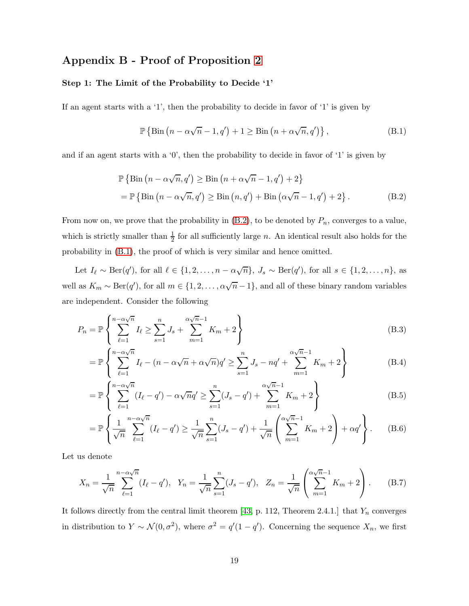## Appendix B - Proof of Proposition [2](#page-12-3)

#### Step 1: The Limit of the Probability to Decide '1'

If an agent starts with a '1', then the probability to decide in favor of '1' is given by

$$
\mathbb{P}\left\{\text{Bin}\left(n-\alpha\sqrt{n}-1,q'\right)+1\geq\text{Bin}\left(n+\alpha\sqrt{n},q'\right)\right\},\tag{B.1}
$$

and if an agent starts with a  $\langle 0 \rangle$ , then the probability to decide in favor of  $\langle 1 \rangle$  is given by

$$
\mathbb{P}\left\{\text{Bin}\left(n-\alpha\sqrt{n},q'\right)\geq\text{Bin}\left(n+\alpha\sqrt{n}-1,q'\right)+2\right\}
$$
  
= 
$$
\mathbb{P}\left\{\text{Bin}\left(n-\alpha\sqrt{n},q'\right)\geq\text{Bin}\left(n,q'\right)+\text{Bin}\left(\alpha\sqrt{n}-1,q'\right)+2\right\}.
$$
 (B.2)

From now on, we prove that the probability in  $(B.2)$ , to be denoted by  $P_n$ , converges to a value, which is strictly smaller than  $\frac{1}{2}$  for all sufficiently large n. An identical result also holds for the probability in [\(B.1\)](#page-32-5), the proof of which is very similar and hence omitted.

Let  $I_{\ell} \sim \text{Ber}(q')$ , for all  $\ell \in \{1, 2, ..., n - \alpha\sqrt{n}\}, J_s \sim \text{Ber}(q')$ , for all  $s \in \{1, 2, ..., n\},$  as well as  $K_m \sim \text{Ber}(q')$ , for all  $m \in \{1, 2, ..., \alpha\sqrt{n} - 1\}$ , and all of these binary random variables are independent. Consider the following

$$
P_n = \mathbb{P}\left\{\sum_{\ell=1}^{n-\alpha\sqrt{n}} I_\ell \ge \sum_{s=1}^n J_s + \sum_{m=1}^{\alpha\sqrt{n}-1} K_m + 2\right\}
$$
(B.3)

$$
= \mathbb{P}\left\{\sum_{\ell=1}^{n-\alpha\sqrt{n}} I_{\ell} - (n-\alpha\sqrt{n}+\alpha\sqrt{n})q' \ge \sum_{s=1}^{n} J_s - nq' + \sum_{m=1}^{\alpha\sqrt{n}-1} K_m + 2\right\}
$$
(B.4)

$$
= \mathbb{P}\left\{\sum_{\ell=1}^{n-\alpha\sqrt{n}} (I_{\ell} - q') - \alpha\sqrt{n}q' \ge \sum_{s=1}^{n} (J_{s} - q') + \sum_{m=1}^{\alpha\sqrt{n}-1} K_{m} + 2\right\}
$$
(B.5)

$$
= \mathbb{P}\left\{\frac{1}{\sqrt{n}}\sum_{\ell=1}^{n-\alpha\sqrt{n}} (I_{\ell} - q') \ge \frac{1}{\sqrt{n}} \sum_{s=1}^{n} (J_{s} - q') + \frac{1}{\sqrt{n}} \left(\sum_{m=1}^{\alpha\sqrt{n}-1} K_{m} + 2\right) + \alpha q'\right\}.
$$
 (B.6)

Let us denote

$$
X_n = \frac{1}{\sqrt{n}} \sum_{\ell=1}^{n-\alpha\sqrt{n}} (I_\ell - q'), \quad Y_n = \frac{1}{\sqrt{n}} \sum_{s=1}^n (J_s - q'), \quad Z_n = \frac{1}{\sqrt{n}} \left( \sum_{m=1}^{\alpha\sqrt{n}-1} K_m + 2 \right). \tag{B.7}
$$

It follows directly from the central limit theorem [\[43,](#page-39-8) p. 112, Theorem 2.4.1.] that  $Y_n$  converges in distribution to  $Y \sim \mathcal{N}(0, \sigma^2)$ , where  $\sigma^2 = q'(1 - q')$ . Concerning the sequence  $X_n$ , we first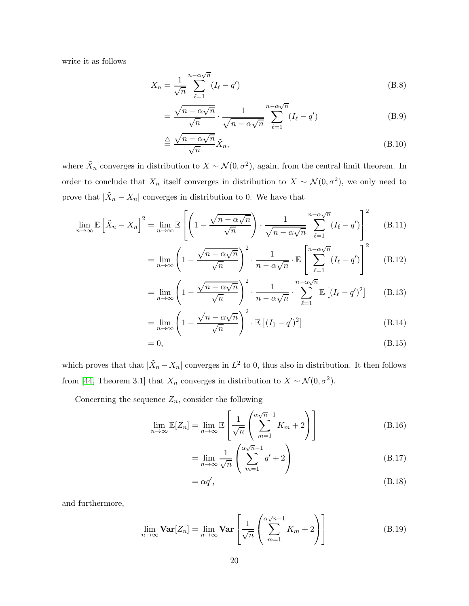write it as follows

$$
X_n = \frac{1}{\sqrt{n}} \sum_{\ell=1}^{n-\alpha\sqrt{n}} (I_\ell - q') \tag{B.8}
$$

$$
=\frac{\sqrt{n-\alpha\sqrt{n}}}{\sqrt{n}}\cdot\frac{1}{\sqrt{n-\alpha\sqrt{n}}}\sum_{\ell=1}^{n-\alpha\sqrt{n}}(I_{\ell}-q')\tag{B.9}
$$

$$
\stackrel{\triangle}{=} \frac{\sqrt{n - \alpha \sqrt{n}}}{\sqrt{n}} \tilde{X}_n,\tag{B.10}
$$

where  $\tilde{X}_n$  converges in distribution to  $X \sim \mathcal{N}(0, \sigma^2)$ , again, from the central limit theorem. In order to conclude that  $X_n$  itself converges in distribution to  $X \sim \mathcal{N}(0, \sigma^2)$ , we only need to prove that  $|\tilde{X}_n - X_n|$  converges in distribution to 0. We have that

$$
\lim_{n \to \infty} \mathbb{E}\left[\tilde{X}_n - X_n\right]^2 = \lim_{n \to \infty} \mathbb{E}\left[\left(1 - \frac{\sqrt{n - \alpha\sqrt{n}}}{\sqrt{n}}\right) \cdot \frac{1}{\sqrt{n - \alpha\sqrt{n}}} \sum_{\ell=1}^{n - \alpha\sqrt{n}} (I_\ell - q')\right]^2 \tag{B.11}
$$

$$
= \lim_{n \to \infty} \left( 1 - \frac{\sqrt{n - \alpha \sqrt{n}}}{\sqrt{n}} \right)^2 \cdot \frac{1}{n - \alpha \sqrt{n}} \cdot \mathbb{E} \left[ \sum_{\ell=1}^{n - \alpha \sqrt{n}} (I_{\ell} - q') \right]^2 \tag{B.12}
$$

$$
= \lim_{n \to \infty} \left( 1 - \frac{\sqrt{n - \alpha \sqrt{n}}}{\sqrt{n}} \right)^2 \cdot \frac{1}{n - \alpha \sqrt{n}} \cdot \sum_{\ell=1}^{n - \alpha \sqrt{n}} \mathbb{E} \left[ (I_{\ell} - q')^2 \right] \tag{B.13}
$$

$$
= \lim_{n \to \infty} \left( 1 - \frac{\sqrt{n - \alpha \sqrt{n}}}{\sqrt{n}} \right)^2 \cdot \mathbb{E} \left[ (I_1 - q')^2 \right]
$$
 (B.14)

$$
=0,\t\t(B.15)
$$

which proves that that  $|\tilde{X}_n - X_n|$  converges in  $L^2$  to 0, thus also in distribution. It then follows from [\[44,](#page-39-9) Theorem 3.1] that  $X_n$  converges in distribution to  $X \sim \mathcal{N}(0, \sigma^2)$ .

Concerning the sequence  $Z_n$ , consider the following

$$
\lim_{n \to \infty} \mathbb{E}[Z_n] = \lim_{n \to \infty} \mathbb{E}\left[\frac{1}{\sqrt{n}} \left(\sum_{m=1}^{\alpha\sqrt{n}-1} K_m + 2\right)\right]
$$
(B.16)

$$
= \lim_{n \to \infty} \frac{1}{\sqrt{n}} \left( \sum_{m=1}^{\alpha \sqrt{n}-1} q' + 2 \right)
$$
 (B.17)

$$
= \alpha q',\tag{B.18}
$$

and furthermore,

$$
\lim_{n \to \infty} \mathbf{Var}[Z_n] = \lim_{n \to \infty} \mathbf{Var}\left[\frac{1}{\sqrt{n}} \left(\sum_{m=1}^{\alpha \sqrt{n}-1} K_m + 2\right)\right]
$$
(B.19)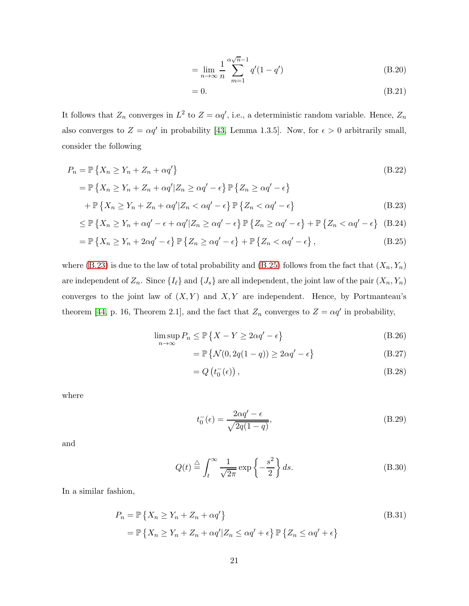$$
= \lim_{n \to \infty} \frac{1}{n} \sum_{m=1}^{\alpha \sqrt{n}-1} q'(1-q')
$$
 (B.20)

$$
=0.\t\t(B.21)
$$

It follows that  $Z_n$  converges in  $L^2$  to  $Z = \alpha q'$ , i.e., a deterministic random variable. Hence,  $Z_n$ also converges to  $Z = \alpha q'$  in probability [\[43,](#page-39-8) Lemma 1.3.5]. Now, for  $\epsilon > 0$  arbitrarily small, consider the following

$$
P_n = \mathbb{P}\left\{X_n \ge Y_n + Z_n + \alpha q'\right\}
$$
\n
$$
= \mathbb{P}\left\{X_n \ge Y_n + Z_n + \alpha q'|Z_n \ge \alpha q' - \epsilon\right\} \mathbb{P}\left\{Z_n \ge \alpha q' - \epsilon\right\}
$$
\n
$$
+ \mathbb{P}\left\{X_n > Y_n + Z_n + \alpha q'|Z_n < \alpha q' - \epsilon\right\} \mathbb{P}\left\{Z_n < \alpha q' - \epsilon\right\} \tag{B.23}
$$

$$
+ \mathbb{P}\left\{X_n \ge Y_n + Z_n + \alpha q' | Z_n < \alpha q' - \epsilon\right\} \mathbb{P}\left\{Z_n < \alpha q' - \epsilon\right\} \tag{B.23}
$$

$$
\leq \mathbb{P}\left\{X_n \geq Y_n + \alpha q' - \epsilon + \alpha q' | Z_n \geq \alpha q' - \epsilon\right\} \mathbb{P}\left\{Z_n \geq \alpha q' - \epsilon\right\} + \mathbb{P}\left\{Z_n < \alpha q' - \epsilon\right\} \tag{B.24}
$$

$$
= \mathbb{P}\left\{X_n \geq Y_n + 2\alpha q' - \epsilon\right\} \mathbb{P}\left\{Z_n \geq \alpha q' - \epsilon\right\} + \mathbb{P}\left\{Z_n < \alpha q' - \epsilon\right\},\tag{B.25}
$$

where [\(B.23\)](#page-34-4) is due to the law of total probability and [\(B.25\)](#page-34-3) follows from the fact that  $(X_n, Y_n)$ are independent of  $Z_n$ . Since  $\{I_\ell\}$  and  $\{J_s\}$  are all independent, the joint law of the pair  $(X_n, Y_n)$ converges to the joint law of  $(X, Y)$  and  $X, Y$  are independent. Hence, by Portmanteau's theorem [\[44,](#page-39-9) p. 16, Theorem 2.1], and the fact that  $Z_n$  converges to  $Z = \alpha q'$  in probability,

$$
\limsup_{n \to \infty} P_n \le \mathbb{P}\left\{X - Y \ge 2\alpha q' - \epsilon\right\} \tag{B.26}
$$

$$
= \mathbb{P}\left\{\mathcal{N}(0, 2q(1-q)) \ge 2\alpha q' - \epsilon\right\}
$$
 (B.27)

$$
=Q\left(t_0^-(\epsilon)\right),\tag{B.28}
$$

where

$$
t_0^- (\epsilon) = \frac{2\alpha q' - \epsilon}{\sqrt{2q(1-q)}},\tag{B.29}
$$

and

$$
Q(t) \stackrel{\triangle}{=} \int_{t}^{\infty} \frac{1}{\sqrt{2\pi}} \exp\left\{-\frac{s^2}{2}\right\} ds. \tag{B.30}
$$

In a similar fashion,

$$
P_n = \mathbb{P}\left\{X_n \ge Y_n + Z_n + \alpha q'\right\}
$$
  
=  $\mathbb{P}\left\{X_n \ge Y_n + Z_n + \alpha q'|Z_n \le \alpha q' + \epsilon\right\} \mathbb{P}\left\{Z_n \le \alpha q' + \epsilon\right\}$  (B.31)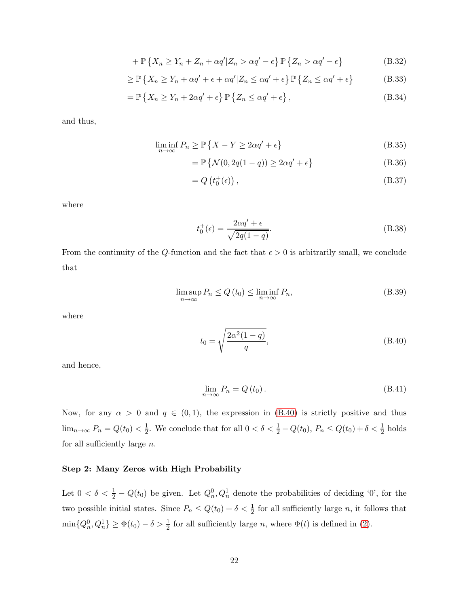$$
+ \mathbb{P}\left\{X_n \geq Y_n + Z_n + \alpha q' | Z_n > \alpha q' - \epsilon\right\} \mathbb{P}\left\{Z_n > \alpha q' - \epsilon\right\}
$$
 (B.32)

$$
\geq \mathbb{P}\left\{X_n \geq Y_n + \alpha q' + \epsilon + \alpha q' | Z_n \leq \alpha q' + \epsilon\right\} \mathbb{P}\left\{Z_n \leq \alpha q' + \epsilon\right\} \tag{B.33}
$$

$$
= \mathbb{P}\left\{X_n \geq Y_n + 2\alpha q' + \epsilon\right\} \mathbb{P}\left\{Z_n \leq \alpha q' + \epsilon\right\},\tag{B.34}
$$

and thus,

$$
\liminf_{n \to \infty} P_n \ge \mathbb{P}\left\{X - Y \ge 2\alpha q' + \epsilon\right\} \tag{B.35}
$$

$$
= \mathbb{P}\left\{\mathcal{N}(0, 2q(1-q)) \ge 2\alpha q' + \epsilon\right\}
$$
 (B.36)

$$
=Q\left(t_0^+(\epsilon)\right),\tag{B.37}
$$

where

$$
t_0^+(\epsilon) = \frac{2\alpha q' + \epsilon}{\sqrt{2q(1-q)}}.
$$
\n(B.38)

From the continuity of the Q-function and the fact that  $\epsilon > 0$  is arbitrarily small, we conclude that

$$
\limsup_{n \to \infty} P_n \le Q(t_0) \le \liminf_{n \to \infty} P_n,\tag{B.39}
$$

where

$$
t_0 = \sqrt{\frac{2\alpha^2(1-q)}{q}},
$$
 (B.40)

and hence,

$$
\lim_{n \to \infty} P_n = Q(t_0). \tag{B.41}
$$

Now, for any  $\alpha > 0$  and  $q \in (0,1)$ , the expression in [\(B.40\)](#page-27-2) is strictly positive and thus  $\lim_{n\to\infty} P_n = Q(t_0) < \frac{1}{2}$  $\frac{1}{2}$ . We conclude that for all  $0 < \delta < \frac{1}{2} - Q(t_0)$ ,  $P_n \leq Q(t_0) + \delta < \frac{1}{2}$  holds for all sufficiently large  $n$ .

#### Step 2: Many Zeros with High Probability

Let  $0 < \delta < \frac{1}{2} - Q(t_0)$  be given. Let  $Q_n^0, Q_n^1$  denote the probabilities of deciding '0', for the two possible initial states. Since  $P_n \leq Q(t_0) + \delta < \frac{1}{2}$  for all sufficiently large n, it follows that  $\min\{Q_n^0, Q_n^1\} \ge \Phi(t_0) - \delta > \frac{1}{2}$  for all sufficiently large *n*, where  $\Phi(t)$  is defined in [\(2\)](#page-6-0).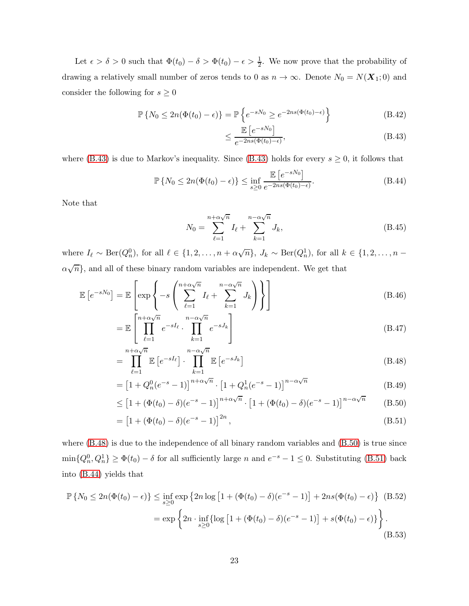Let  $\epsilon > \delta > 0$  such that  $\Phi(t_0) - \delta > \Phi(t_0) - \epsilon > \frac{1}{2}$ . We now prove that the probability of drawing a relatively small number of zeros tends to 0 as  $n \to \infty$ . Denote  $N_0 = N(\mathbf{X}_1; 0)$  and consider the following for  $s\geq 0$ 

$$
\mathbb{P}\left\{N_0 \le 2n(\Phi(t_0) - \epsilon)\right\} = \mathbb{P}\left\{e^{-sN_0} \ge e^{-2ns(\Phi(t_0) - \epsilon)}\right\}
$$
\n(B.42)

$$
\leq \frac{\mathbb{E}\left[e^{-sN_0}\right]}{e^{-2ns(\Phi(t_0)-\epsilon)}},\tag{B.43}
$$

where [\(B.43\)](#page-27-3) is due to Markov's inequality. Since (B.43) holds for every  $s \geq 0$ , it follows that

$$
\mathbb{P}\left\{N_0 \le 2n(\Phi(t_0) - \epsilon)\right\} \le \inf_{s \ge 0} \frac{\mathbb{E}\left[e^{-sN_0}\right]}{e^{-2ns(\Phi(t_0) - \epsilon)}}.\tag{B.44}
$$

Note that

$$
N_0 = \sum_{\ell=1}^{n + \alpha \sqrt{n}} I_\ell + \sum_{k=1}^{n - \alpha \sqrt{n}} J_k,
$$
 (B.45)

where  $I_{\ell} \sim \text{Ber}(Q_n^0)$ , for all  $\ell \in \{1, 2, ..., n + \alpha\sqrt{n}\}, J_k \sim \text{Ber}(Q_n^1)$ , for all  $k \in \{1, 2, ..., n - \ell\}$  $\alpha\sqrt{n}$ , and all of these binary random variables are independent. We get that

$$
\mathbb{E}\left[e^{-sN_0}\right] = \mathbb{E}\left[\exp\left\{-s\left(\sum_{\ell=1}^{n+\alpha\sqrt{n}} I_{\ell} + \sum_{k=1}^{n-\alpha\sqrt{n}} J_k\right)\right\}\right]
$$
(B.46)

$$
= \mathbb{E}\left[\prod_{\ell=1}^{n+\alpha\sqrt{n}} e^{-sI_{\ell}} \cdot \prod_{k=1}^{n-\alpha\sqrt{n}} e^{-sJ_{k}}\right]
$$
(B.47)

$$
= \prod_{\ell=1}^{n+\alpha\sqrt{n}} \mathbb{E}\left[e^{-sI_{\ell}}\right] \cdot \prod_{k=1}^{n-\alpha\sqrt{n}} \mathbb{E}\left[e^{-sJ_{k}}\right]
$$
(B.48)

$$
= \left[1 + Q_n^0(e^{-s} - 1)\right]^{n + \alpha\sqrt{n}} \cdot \left[1 + Q_n^1(e^{-s} - 1)\right]^{n - \alpha\sqrt{n}} \tag{B.49}
$$

$$
\leq \left[1 + (\Phi(t_0) - \delta)(e^{-s} - 1)\right]^{n + \alpha \sqrt{n}} \cdot \left[1 + (\Phi(t_0) - \delta)(e^{-s} - 1)\right]^{n - \alpha \sqrt{n}} \tag{B.50}
$$

$$
= [1 + (\Phi(t_0) - \delta)(e^{-s} - 1)]^{2n}, \qquad (B.51)
$$

where [\(B.48\)](#page-27-4) is due to the independence of all binary random variables and [\(B.50\)](#page-28-0) is true since  $\min\{Q_n^0, Q_n^1\} \ge \Phi(t_0) - \delta$  for all sufficiently large n and  $e^{-s} - 1 \le 0$ . Substituting [\(B.51\)](#page-28-1) back into [\(B.44\)](#page-27-5) yields that

$$
\mathbb{P}\left\{N_0 \le 2n(\Phi(t_0) - \epsilon)\right\} \le \inf_{s \ge 0} \exp\left\{2n\log\left[1 + (\Phi(t_0) - \delta)(e^{-s} - 1)\right] + 2ns(\Phi(t_0) - \epsilon)\right\} \text{ (B.52)}
$$
\n
$$
= \exp\left\{2n \cdot \inf_{s \ge 0} \{\log\left[1 + (\Phi(t_0) - \delta)(e^{-s} - 1)\right] + s(\Phi(t_0) - \epsilon)\}\right\}.
$$
\n(B.53)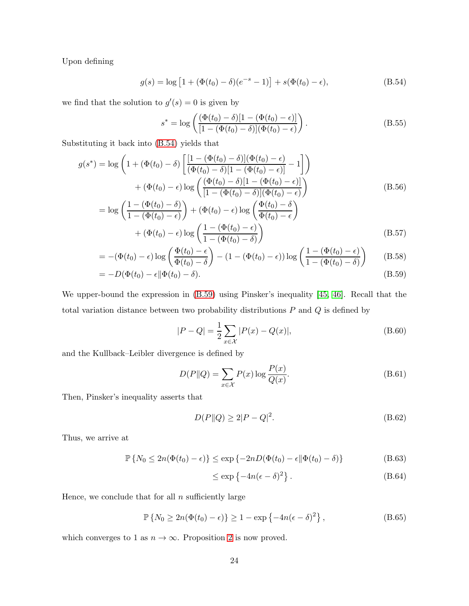Upon defining

$$
g(s) = \log \left[ 1 + (\Phi(t_0) - \delta)(e^{-s} - 1) \right] + s(\Phi(t_0) - \epsilon),
$$
\n(B.54)

we find that the solution to  $g'(s) = 0$  is given by

$$
s^* = \log \left( \frac{(\Phi(t_0) - \delta)[1 - (\Phi(t_0) - \epsilon)]}{[1 - (\Phi(t_0) - \delta)](\Phi(t_0) - \epsilon)} \right).
$$
 (B.55)

Substituting it back into [\(B.54\)](#page-28-2) yields that

$$
g(s^*) = \log\left(1 + (\Phi(t_0) - \delta)\left[\frac{[1 - (\Phi(t_0) - \delta)](\Phi(t_0) - \epsilon)}{(\Phi(t_0) - \delta)[1 - (\Phi(t_0) - \epsilon)]} - 1\right]\right)
$$

$$
+ (\Phi(t_0) - \epsilon)\log\left(\frac{(\Phi(t_0) - \delta)[1 - (\Phi(t_0) - \epsilon)]}{[1 - (\Phi(t_0) - \delta)](\Phi(t_0) - \epsilon)}\right)
$$
(B.56)
$$
= \log\left(\frac{1 - (\Phi(t_0) - \delta)}{1 - (\Phi(t_0) - \epsilon)}\right) + (\Phi(t_0) - \epsilon)\log\left(\frac{\Phi(t_0) - \delta}{\Phi(t_0) - \epsilon}\right)
$$

$$
+\left(\Phi(t_0) - \epsilon\right) \log \left(\frac{1 - \left(\Phi(t_0) - \epsilon\right)}{1 - \left(\Phi(t_0) - \delta\right)}\right) \tag{B.57}
$$

$$
= -(\Phi(t_0) - \epsilon) \log \left( \frac{\Phi(t_0) - \epsilon}{\Phi(t_0) - \delta} \right) - (1 - (\Phi(t_0) - \epsilon)) \log \left( \frac{1 - (\Phi(t_0) - \epsilon)}{1 - (\Phi(t_0) - \delta)} \right) \tag{B.58}
$$

$$
= -D(\Phi(t_0) - \epsilon || \Phi(t_0) - \delta). \tag{B.59}
$$

We upper-bound the expression in [\(B.59\)](#page-29-0) using Pinsker's inequality [\[45,](#page-40-0) [46\]](#page-40-1). Recall that the total variation distance between two probability distributions  $P$  and  $Q$  is defined by

$$
|P - Q| = \frac{1}{2} \sum_{x \in \mathcal{X}} |P(x) - Q(x)|,
$$
 (B.60)

and the Kullback–Leibler divergence is defined by

$$
D(P||Q) = \sum_{x \in \mathcal{X}} P(x) \log \frac{P(x)}{Q(x)}.
$$
 (B.61)

Then, Pinsker's inequality asserts that

$$
D(P||Q) \ge 2|P - Q|^2. \tag{B.62}
$$

Thus, we arrive at

$$
\mathbb{P}\left\{N_0 \le 2n(\Phi(t_0) - \epsilon)\right\} \le \exp\left\{-2nD(\Phi(t_0) - \epsilon || \Phi(t_0) - \delta)\right\} \tag{B.63}
$$

$$
\leq \exp\left\{-4n(\epsilon-\delta)^2\right\}.
$$
 (B.64)

Hence, we conclude that for all  $n$  sufficiently large

$$
\mathbb{P}\left\{N_0 \ge 2n(\Phi(t_0) - \epsilon)\right\} \ge 1 - \exp\left\{-4n(\epsilon - \delta)^2\right\},\tag{B.65}
$$

which converges to 1 as  $n \to \infty$ . Proposition [2](#page-12-3) is now proved.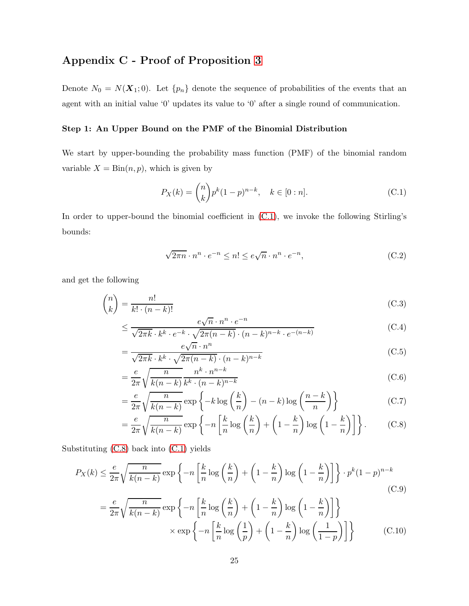## Appendix C - Proof of Proposition [3](#page-12-1)

Denote  $N_0 = N(X_1; 0)$ . Let  $\{p_n\}$  denote the sequence of probabilities of the events that an agent with an initial value '0' updates its value to '0' after a single round of communication.

#### Step 1: An Upper Bound on the PMF of the Binomial Distribution

We start by upper-bounding the probability mass function (PMF) of the binomial random variable  $X = \text{Bin}(n, p)$ , which is given by

$$
P_X(k) = \binom{n}{k} p^k (1-p)^{n-k}, \quad k \in [0:n].
$$
 (C.1)

In order to upper-bound the binomial coefficient in [\(C.1\)](#page-32-5), we invoke the following Stirling's bounds:

$$
\sqrt{2\pi n} \cdot n^n \cdot e^{-n} \le n! \le e\sqrt{n} \cdot n^n \cdot e^{-n},\tag{C.2}
$$

and get the following

$$
\binom{n}{k} = \frac{n!}{k! \cdot (n-k)!} \tag{C.3}
$$

$$
\leq \frac{e\sqrt{n} \cdot n^n \cdot e^{-n}}{\sqrt{2\pi k} \cdot k^k \cdot e^{-k} \cdot \sqrt{2\pi (n-k)} \cdot (n-k)^{n-k} \cdot e^{-(n-k)}}
$$
(C.4)

$$
= \frac{e\sqrt{n} \cdot n^n}{\sqrt{2\pi k} \cdot k^k \cdot \sqrt{2\pi (n-k)} \cdot (n-k)^{n-k}}
$$
(C.5)

$$
=\frac{e}{2\pi}\sqrt{\frac{n}{k(n-k)}}\frac{n^k\cdot n^{n-k}}{k^k\cdot(n-k)^{n-k}}
$$
(C.6)

$$
= \frac{e}{2\pi} \sqrt{\frac{n}{k(n-k)}} \exp\left\{-k \log\left(\frac{k}{n}\right) - (n-k) \log\left(\frac{n-k}{n}\right)\right\}
$$
(C.7)

$$
= \frac{e}{2\pi} \sqrt{\frac{n}{k(n-k)}} \exp\left\{-n\left[\frac{k}{n}\log\left(\frac{k}{n}\right) + \left(1 - \frac{k}{n}\right)\log\left(1 - \frac{k}{n}\right)\right]\right\}.
$$
 (C.8)

Substituting [\(C.8\)](#page-32-6) back into [\(C.1\)](#page-32-5) yields

$$
P_X(k) \le \frac{e}{2\pi} \sqrt{\frac{n}{k(n-k)}} \exp\left\{-n\left[\frac{k}{n}\log\left(\frac{k}{n}\right) + \left(1 - \frac{k}{n}\right)\log\left(1 - \frac{k}{n}\right)\right]\right\} \cdot p^k (1-p)^{n-k}
$$
\n(C.9)\n
$$
= \frac{e}{2\pi} \sqrt{\frac{n}{k(n-k)}} \exp\left\{-n\left[\frac{k}{n}\log\left(\frac{k}{n}\right) + \left(1 - \frac{k}{n}\right)\log\left(1 - \frac{k}{n}\right)\right]\right\}
$$
\n
$$
\times \exp\left\{-n\left[\frac{k}{n}\log\left(\frac{1}{n}\right) + \left(1 - \frac{k}{n}\right)\log\left(\frac{1}{n}\right)\right]\right\}
$$
\n(C.10)

$$
\times \exp\left\{-n\left[\frac{k}{n}\log\left(\frac{1}{p}\right) + \left(1 - \frac{k}{n}\right)\log\left(\frac{1}{1-p}\right)\right]\right\} \tag{C.10}
$$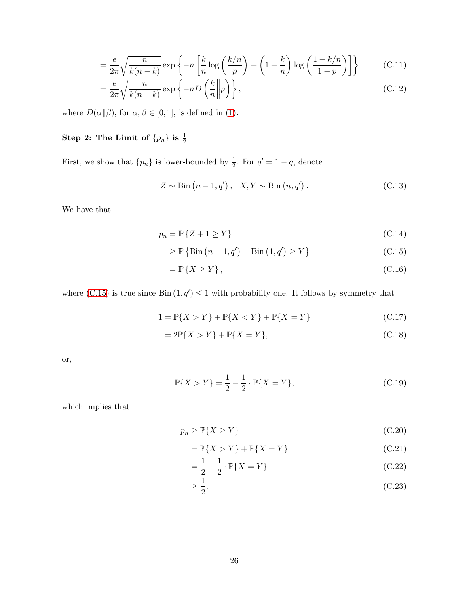$$
= \frac{e}{2\pi} \sqrt{\frac{n}{k(n-k)}} \exp\left\{-n\left[\frac{k}{n}\log\left(\frac{k/n}{p}\right) + \left(1 - \frac{k}{n}\right)\log\left(\frac{1 - k/n}{1 - p}\right)\right]\right\} \tag{C.11}
$$

$$
= \frac{e}{2\pi} \sqrt{\frac{n}{k(n-k)}} \exp\left\{-nD\left(\frac{k}{n}\middle\|p\right)\right\},\tag{C.12}
$$

where  $D(\alpha||\beta)$ , for  $\alpha, \beta \in [0, 1]$ , is defined in [\(1\)](#page-6-1).

## Step 2: The Limit of  $\{p_n\}$  is  $\frac{1}{2}$

First, we show that  $\{p_n\}$  is lower-bounded by  $\frac{1}{2}$ . For  $q' = 1 - q$ , denote

$$
Z \sim \text{Bin}\left(n - 1, q'\right), \quad X, Y \sim \text{Bin}\left(n, q'\right). \tag{C.13}
$$

We have that

$$
p_n = \mathbb{P}\{Z + 1 \ge Y\} \tag{C.14}
$$

$$
\geq \mathbb{P}\left\{\text{Bin}\left(n-1,q'\right) + \text{Bin}\left(1,q'\right) \geq Y\right\} \tag{C.15}
$$

$$
= \mathbb{P}\left\{X \ge Y\right\},\tag{C.16}
$$

where  $(C.15)$  is true since  $Bin(1, q') \leq 1$  with probability one. It follows by symmetry that

$$
1 = \mathbb{P}\{X > Y\} + \mathbb{P}\{X < Y\} + \mathbb{P}\{X = Y\}
$$
 (C.17)

$$
=2\mathbb{P}\{X>Y\}+\mathbb{P}\{X=Y\},\tag{C.18}
$$

or,

$$
\mathbb{P}\{X > Y\} = \frac{1}{2} - \frac{1}{2} \cdot \mathbb{P}\{X = Y\},\tag{C.19}
$$

which implies that

$$
p_n \ge \mathbb{P}\{X \ge Y\} \tag{C.20}
$$

$$
= \mathbb{P}\{X > Y\} + \mathbb{P}\{X = Y\}
$$
\n(C.21)

$$
= \frac{1}{2} + \frac{1}{2} \cdot \mathbb{P}\{X = Y\}
$$
 (C.22)

$$
\geq \frac{1}{2}.\tag{C.23}
$$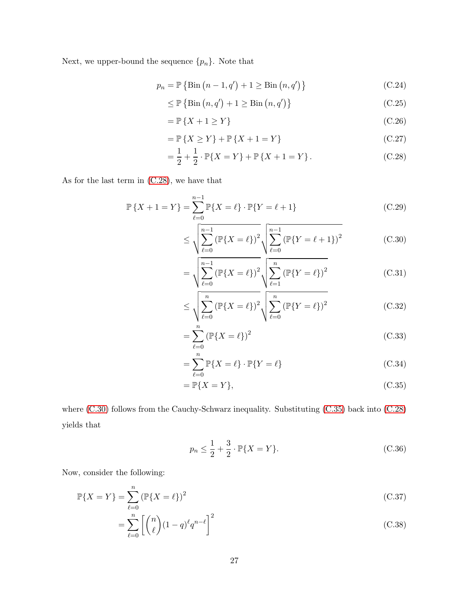Next, we upper-bound the sequence  $\{p_n\}$ . Note that

$$
p_n = \mathbb{P}\left\{\text{Bin}\left(n-1, q'\right) + 1 \ge \text{Bin}\left(n, q'\right)\right\} \tag{C.24}
$$

$$
\leq \mathbb{P}\left\{\text{Bin}\left(n, q'\right) + 1 \geq \text{Bin}\left(n, q'\right)\right\} \tag{C.25}
$$

$$
= \mathbb{P}\left\{X + 1 \ge Y\right\} \tag{C.26}
$$

$$
= \mathbb{P}\{X \ge Y\} + \mathbb{P}\{X + 1 = Y\}
$$
\n(C.27)

$$
= \frac{1}{2} + \frac{1}{2} \cdot \mathbb{P}\{X = Y\} + \mathbb{P}\{X + 1 = Y\}.
$$
 (C.28)

As for the last term in [\(C.28\)](#page-35-4), we have that

$$
\mathbb{P}\left\{X+1=Y\right\} = \sum_{\ell=0}^{n-1} \mathbb{P}\{X=\ell\} \cdot \mathbb{P}\{Y=\ell+1\}
$$
 (C.29)

$$
\leq \sqrt{\sum_{\ell=0}^{n-1} (\mathbb{P}\{X=\ell\})^2} \sqrt{\sum_{\ell=0}^{n-1} (\mathbb{P}\{Y=\ell+1\})^2}
$$
 (C.30)

$$
= \sqrt{\sum_{\ell=0}^{n-1} (\mathbb{P}\{X=\ell\})^2} \sqrt{\sum_{\ell=1}^{n} (\mathbb{P}\{Y=\ell\})^2}
$$
 (C.31)

$$
\leq \sqrt{\sum_{\ell=0}^{n} \left(\mathbb{P}\{X=\ell\}\right)^2} \sqrt{\sum_{\ell=0}^{n} \left(\mathbb{P}\{Y=\ell\}\right)^2} \tag{C.32}
$$

$$
= \sum_{\ell=0}^{n} (\mathbb{P}\{X = \ell\})^2
$$
 (C.33)

$$
= \sum_{\ell=0}^{n} \mathbb{P}\{X = \ell\} \cdot \mathbb{P}\{Y = \ell\}
$$
 (C.34)

$$
=\mathbb{P}\{X=Y\},\tag{C.35}
$$

where [\(C.30\)](#page-35-5) follows from the Cauchy-Schwarz inequality. Substituting [\(C.35\)](#page-35-6) back into [\(C.28\)](#page-35-4) yields that

$$
p_n \le \frac{1}{2} + \frac{3}{2} \cdot \mathbb{P}\{X = Y\}.
$$
 (C.36)

Now, consider the following:

$$
\mathbb{P}\{X = Y\} = \sum_{\ell=0}^{n} (\mathbb{P}\{X = \ell\})^2
$$
\n(C.37)

$$
=\sum_{\ell=0}^{n} \left[ \binom{n}{\ell} (1-q)^{\ell} q^{n-\ell} \right]^2 \tag{C.38}
$$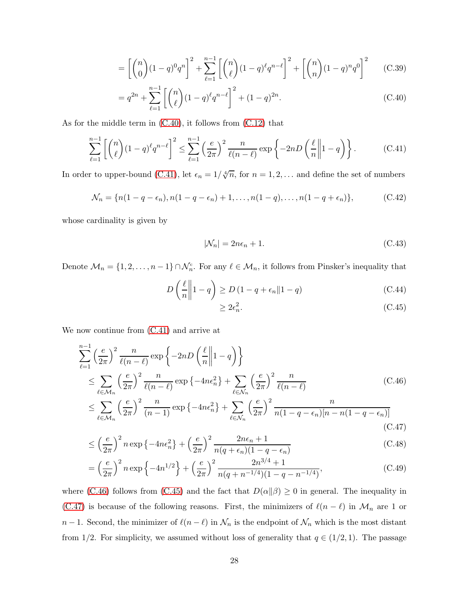$$
= \left[ \binom{n}{0} (1-q)^0 q^n \right]^2 + \sum_{\ell=1}^{n-1} \left[ \binom{n}{\ell} (1-q)^{\ell} q^{n-\ell} \right]^2 + \left[ \binom{n}{n} (1-q)^n q^0 \right]^2 \tag{C.39}
$$

$$
= q^{2n} + \sum_{\ell=1}^{n-1} \left[ \binom{n}{\ell} (1-q)^{\ell} q^{n-\ell} \right]^2 + (1-q)^{2n}.
$$
 (C.40)

As for the middle term in [\(C.40\)](#page-27-2), it follows from [\(C.12\)](#page-33-6) that

$$
\sum_{\ell=1}^{n-1} \left[ \binom{n}{\ell} (1-q)^{\ell} q^{n-\ell} \right]^2 \le \sum_{\ell=1}^{n-1} \left( \frac{e}{2\pi} \right)^2 \frac{n}{\ell(n-\ell)} \exp\left\{-2nD\left(\frac{\ell}{n} \middle\| 1-q\right) \right\}.
$$
 (C.41)

In order to upper-bound [\(C.41\)](#page-27-1), let  $\epsilon_n = 1/\sqrt[4]{n}$ , for  $n = 1, 2, \ldots$  and define the set of numbers

$$
\mathcal{N}_n = \{n(1 - q - \epsilon_n), n(1 - q - \epsilon_n) + 1, \dots, n(1 - q), \dots, n(1 - q + \epsilon_n)\},\tag{C.42}
$$

whose cardinality is given by

<span id="page-27-3"></span><span id="page-27-2"></span><span id="page-27-1"></span><span id="page-27-0"></span>
$$
|\mathcal{N}_n| = 2n\epsilon_n + 1. \tag{C.43}
$$

Denote  $\mathcal{M}_n = \{1, 2, \ldots, n-1\} \cap \mathcal{N}_n^c$ . For any  $\ell \in \mathcal{M}_n$ , it follows from Pinsker's inequality that

$$
D\left(\frac{\ell}{n}\middle\|1-q\right) \ge D\left(1-q+\epsilon_n\middle\|1-q\right) \tag{C.44}
$$

<span id="page-27-9"></span><span id="page-27-8"></span><span id="page-27-7"></span><span id="page-27-6"></span><span id="page-27-5"></span><span id="page-27-4"></span>
$$
\geq 2\epsilon_n^2. \tag{C.45}
$$

We now continue from [\(C.41\)](#page-27-1) and arrive at

$$
\sum_{\ell=1}^{n-1} \left(\frac{e}{2\pi}\right)^2 \frac{n}{\ell(n-\ell)} \exp\left\{-2nD\left(\frac{\ell}{n}\middle\|1-q\right)\right\}
$$
\n
$$
\leq \sum_{\ell \in \mathcal{M}_n} \left(\frac{e}{2\pi}\right)^2 \frac{n}{\ell(n-\ell)} \exp\left\{-4n\epsilon_n^2\right\} + \sum_{\ell \in \mathcal{N}_n} \left(\frac{e}{2\pi}\right)^2 \frac{n}{\ell(n-\ell)} \tag{C.46}
$$
\n
$$
\leq \sum_{\ell \in \mathcal{N}_n} \left(\frac{e}{2\pi}\right)^2 \frac{n}{(n-1)} \exp\left\{-4n\epsilon_n^2\right\} + \sum_{\ell \in \mathcal{N}_n} \left(\frac{e}{2\pi}\right)^2 \frac{n}{n(1-a-\epsilon_n)[n-n(1-a-\epsilon_n)]}
$$

$$
\leq \sum_{\ell \in \mathcal{M}_n} \left( \frac{c}{2\pi} \right) \frac{n}{(n-1)} \exp \left\{ -4n\epsilon_n^2 \right\} + \sum_{\ell \in \mathcal{N}_n} \left( \frac{c}{2\pi} \right) \frac{n}{n(1-q-\epsilon_n)[n-n(1-q-\epsilon_n)]} \tag{C.47}
$$

$$
\leq \left(\frac{e}{2\pi}\right)^2 n \exp\left\{-4n\epsilon_n^2\right\} + \left(\frac{e}{2\pi}\right)^2 \frac{2n\epsilon_n + 1}{n(q + \epsilon_n)(1 - q - \epsilon_n)}\tag{C.48}
$$

$$
= \left(\frac{e}{2\pi}\right)^2 n \exp\left\{-4n^{1/2}\right\} + \left(\frac{e}{2\pi}\right)^2 \frac{2n^{3/4} + 1}{n(q + n^{-1/4})(1 - q - n^{-1/4})},\tag{C.49}
$$

where [\(C.46\)](#page-27-6) follows from [\(C.45\)](#page-27-7) and the fact that  $D(\alpha||\beta) \ge 0$  in general. The inequality in [\(C.47\)](#page-27-8) is because of the following reasons. First, the minimizers of  $\ell(n-\ell)$  in  $\mathcal{M}_n$  are 1 or  $n-1$ . Second, the minimizer of  $\ell(n-\ell)$  in  $\mathcal{N}_n$  is the endpoint of  $\mathcal{N}_n$  which is the most distant from 1/2. For simplicity, we assumed without loss of generality that  $q \in (1/2, 1)$ . The passage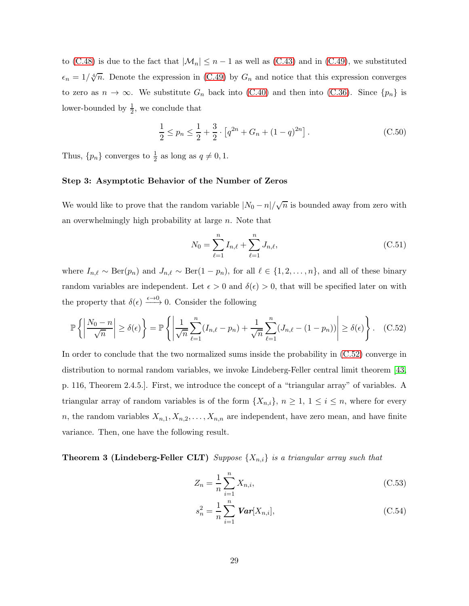to [\(C.48\)](#page-27-4) is due to the fact that  $|\mathcal{M}_n| \leq n-1$  as well as [\(C.43\)](#page-27-3) and in [\(C.49\)](#page-27-9), we substituted  $\epsilon_n = 1/\sqrt[4]{n}$ . Denote the expression in [\(C.49\)](#page-27-9) by  $G_n$  and notice that this expression converges to zero as  $n \to \infty$ . We substitute  $G_n$  back into [\(C.40\)](#page-27-2) and then into [\(C.36\)](#page-35-7). Since  $\{p_n\}$  is lower-bounded by  $\frac{1}{2}$ , we conclude that

$$
\frac{1}{2} \le p_n \le \frac{1}{2} + \frac{3}{2} \cdot \left[ q^{2n} + G_n + (1 - q)^{2n} \right].
$$
 (C.50)

Thus,  $\{p_n\}$  converges to  $\frac{1}{2}$  as long as  $q \neq 0, 1$ .

#### Step 3: Asymptotic Behavior of the Number of Zeros

We would like to prove that the random variable  $|N_0 - n| / \sqrt{n}$  is bounded away from zero with an overwhelmingly high probability at large  $n$ . Note that

<span id="page-28-3"></span><span id="page-28-1"></span><span id="page-28-0"></span>
$$
N_0 = \sum_{\ell=1}^n I_{n,\ell} + \sum_{\ell=1}^n J_{n,\ell},
$$
\n(C.51)

where  $I_{n,\ell} \sim \text{Ber}(p_n)$  and  $J_{n,\ell} \sim \text{Ber}(1-p_n)$ , for all  $\ell \in \{1,2,\ldots,n\}$ , and all of these binary random variables are independent. Let  $\epsilon > 0$  and  $\delta(\epsilon) > 0$ , that will be specified later on with the property that  $\delta(\epsilon) \xrightarrow{\epsilon \to 0} 0$ . Consider the following

$$
\mathbb{P}\left\{\left|\frac{N_0-n}{\sqrt{n}}\right|\geq \delta(\epsilon)\right\} = \mathbb{P}\left\{\left|\frac{1}{\sqrt{n}}\sum_{\ell=1}^n (I_{n,\ell}-p_n) + \frac{1}{\sqrt{n}}\sum_{\ell=1}^n (J_{n,\ell}-(1-p_n))\right|\geq \delta(\epsilon)\right\}.
$$
 (C.52)

In order to conclude that the two normalized sums inside the probability in [\(C.52\)](#page-28-3) converge in distribution to normal random variables, we invoke Lindeberg-Feller central limit theorem [\[43,](#page-39-8) p. 116, Theorem 2.4.5.]. First, we introduce the concept of a "triangular array" of variables. A triangular array of random variables is of the form  $\{X_{n,i}\},\ n\geq 1,\ 1\leq i\leq n$ , where for every n, the random variables  $X_{n,1}, X_{n,2}, \ldots, X_{n,n}$  are independent, have zero mean, and have finite variance. Then, one have the following result.

### **Theorem 3 (Lindeberg-Feller CLT)** *Suppose*  $\{X_{n,i}\}$  *is a triangular array such that*

$$
Z_n = \frac{1}{n} \sum_{i=1}^n X_{n,i},\tag{C.53}
$$

<span id="page-28-2"></span>
$$
s_n^2 = \frac{1}{n} \sum_{i=1}^n \text{Var}[X_{n,i}],
$$
 (C.54)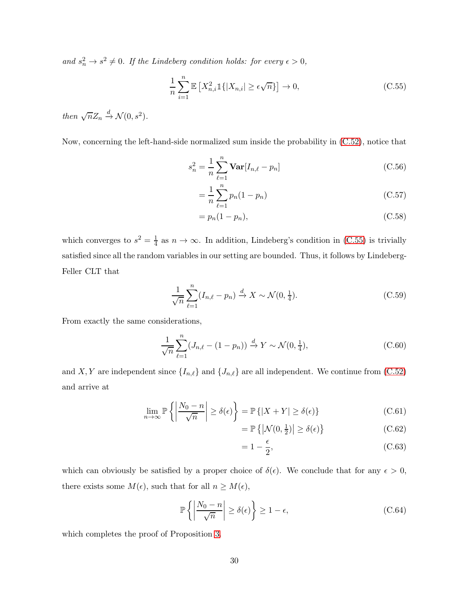and  $s_n^2 \to s^2 \neq 0$ . If the Lindeberg condition holds: for every  $\epsilon > 0$ ,

<span id="page-29-1"></span>
$$
\frac{1}{n}\sum_{i=1}^{n} \mathbb{E}\left[X_{n,i}^{2} \mathbb{1}\{|X_{n,i}| \ge \epsilon\sqrt{n}\}\right] \to 0,
$$
\n(C.55)

*then*  $\sqrt{n}Z_n \stackrel{d}{\rightarrow} \mathcal{N}(0, s^2)$ *.* 

Now, concerning the left-hand-side normalized sum inside the probability in [\(C.52\)](#page-28-3), notice that

$$
s_n^2 = \frac{1}{n} \sum_{\ell=1}^n \mathbf{Var}[I_{n,\ell} - p_n]
$$
 (C.56)

$$
=\frac{1}{n}\sum_{\ell=1}^{n}p_n(1-p_n)
$$
\n(C.57)

<span id="page-29-0"></span>
$$
=p_n(1-p_n),\tag{C.58}
$$

which converges to  $s^2 = \frac{1}{4}$  $\frac{1}{4}$  as  $n \to \infty$ . In addition, Lindeberg's condition in [\(C.55\)](#page-29-1) is trivially satisfied since all the random variables in our setting are bounded. Thus, it follows by Lindeberg-Feller CLT that

$$
\frac{1}{\sqrt{n}}\sum_{\ell=1}^{n}(I_{n,\ell}-p_n) \xrightarrow{d} X \sim \mathcal{N}(0,\frac{1}{4}).
$$
\n(C.59)

From exactly the same considerations,

$$
\frac{1}{\sqrt{n}} \sum_{\ell=1}^{n} (J_{n,\ell} - (1 - p_n)) \xrightarrow{d} Y \sim \mathcal{N}(0, \frac{1}{4}),
$$
\n(C.60)

and X, Y are independent since  $\{I_{n,\ell}\}\$  and  $\{J_{n,\ell}\}\$  are all independent. We continue from [\(C.52\)](#page-28-3) and arrive at

$$
\lim_{n \to \infty} \mathbb{P}\left\{ \left| \frac{N_0 - n}{\sqrt{n}} \right| \ge \delta(\epsilon) \right\} = \mathbb{P}\left\{ |X + Y| \ge \delta(\epsilon) \right\} \tag{C.61}
$$

$$
= \mathbb{P}\left\{ \left| \mathcal{N}(0, \frac{1}{2}) \right| \ge \delta(\epsilon) \right\} \tag{C.62}
$$

$$
=1-\frac{\epsilon}{2},\tag{C.63}
$$

which can obviously be satisfied by a proper choice of  $\delta(\epsilon)$ . We conclude that for any  $\epsilon > 0$ , there exists some  $M(\epsilon)$ , such that for all  $n \geq M(\epsilon)$ ,

$$
\mathbb{P}\left\{\left|\frac{N_0 - n}{\sqrt{n}}\right| \ge \delta(\epsilon)\right\} \ge 1 - \epsilon,\tag{C.64}
$$

which completes the proof of Proposition [3.](#page-12-1)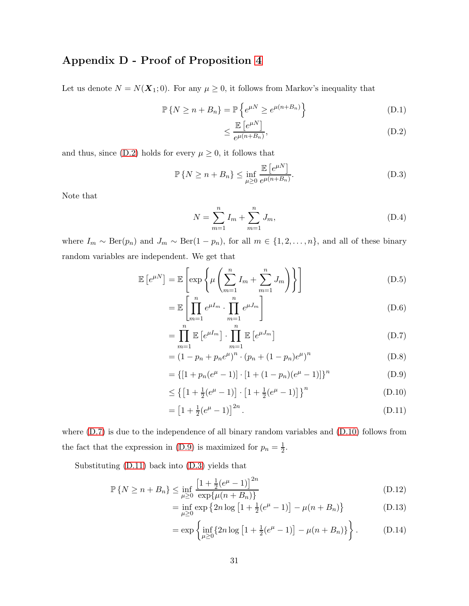## Appendix D - Proof of Proposition [4](#page-13-0)

Let us denote  $N = N(\mathbf{X}_1; 0)$ . For any  $\mu \geq 0$ , it follows from Markov's inequality that

$$
\mathbb{P}\left\{N \ge n + B_n\right\} = \mathbb{P}\left\{e^{\mu N} \ge e^{\mu(n + B_n)}\right\} \tag{D.1}
$$

$$
\leq \frac{\mathbb{E}\left[e^{\mu N}\right]}{e^{\mu(n+B_n)}},\tag{D.2}
$$

and thus, since [\(D.2\)](#page-32-4) holds for every  $\mu \geq 0$ , it follows that

$$
\mathbb{P}\left\{N \ge n + B_n\right\} \le \inf_{\mu \ge 0} \frac{\mathbb{E}\left[e^{\mu N}\right]}{e^{\mu(n+B_n)}}.
$$
\n(D.3)

Note that

$$
N = \sum_{m=1}^{n} I_m + \sum_{m=1}^{n} J_m,
$$
\n(D.4)

where  $I_m \sim \text{Ber}(p_n)$  and  $J_m \sim \text{Ber}(1 - p_n)$ , for all  $m \in \{1, 2, ..., n\}$ , and all of these binary random variables are independent. We get that

$$
\mathbb{E}\left[e^{\mu N}\right] = \mathbb{E}\left[\exp\left\{\mu\left(\sum_{m=1}^{n} I_m + \sum_{m=1}^{n} J_m\right)\right\}\right]
$$
(D.5)

$$
= \mathbb{E}\left[\prod_{m=1}^{n} e^{\mu I_m} \cdot \prod_{m=1}^{n} e^{\mu J_m}\right]
$$
(D.6)

$$
= \prod_{m=1}^{n} \mathbb{E}\left[e^{\mu I_m}\right] \cdot \prod_{m=1}^{n} \mathbb{E}\left[e^{\mu J_m}\right]
$$
\n(D.7)

$$
= (1 - p_n + p_n e^{\mu})^n \cdot (p_n + (1 - p_n)e^{\mu})^n
$$
 (D.8)

$$
= \{ [1 + p_n(e^{\mu} - 1)] \cdot [1 + (1 - p_n)(e^{\mu} - 1)] \}^n
$$
 (D.9)

$$
\leq \left\{ \left[ 1 + \frac{1}{2} (e^{\mu} - 1) \right] \cdot \left[ 1 + \frac{1}{2} (e^{\mu} - 1) \right] \right\}^{n} \tag{D.10}
$$

$$
= \left[1 + \frac{1}{2}(e^{\mu} - 1)\right]^{2n}.
$$
 (D.11)

where [\(D.7\)](#page-32-7) is due to the independence of all binary random variables and [\(D.10\)](#page-33-1) follows from the fact that the expression in [\(D.9\)](#page-32-8) is maximized for  $p_n = \frac{1}{2}$  $rac{1}{2}$ .

Substituting [\(D.11\)](#page-33-7) back into [\(D.3\)](#page-32-0) yields that

$$
\mathbb{P}\left\{N \ge n + B_n\right\} \le \inf_{\mu \ge 0} \frac{\left[1 + \frac{1}{2}(e^{\mu} - 1)\right]^{2n}}{\exp\{\mu(n + B_n)\}}\tag{D.12}
$$

$$
= \inf_{\mu \ge 0} \exp \left\{ 2n \log \left[ 1 + \frac{1}{2} (e^{\mu} - 1) \right] - \mu (n + B_n) \right\}
$$
 (D.13)

$$
= \exp\left\{\inf_{\mu \ge 0} \{2n \log\left[1 + \frac{1}{2}(e^{\mu} - 1)\right] - \mu(n + B_n)\}\right\}.
$$
 (D.14)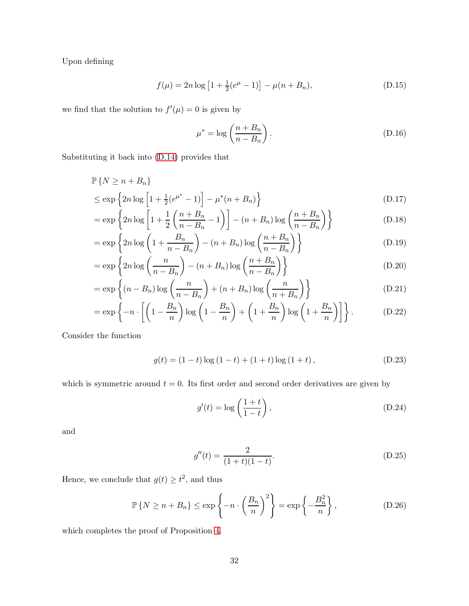Upon defining

$$
f(\mu) = 2n \log \left[ 1 + \frac{1}{2} (e^{\mu} - 1) \right] - \mu (n + B_n), \tag{D.15}
$$

we find that the solution to  $f'(\mu) = 0$  is given by

$$
\mu^* = \log\left(\frac{n + B_n}{n - B_n}\right). \tag{D.16}
$$

Substituting it back into [\(D.14\)](#page-33-2) provides that

$$
\mathbb{P}\left\{N \ge n + B_n\right\}
$$
  
\n
$$
\le \exp\left\{2n \log\left[1 + \frac{1}{2}(e^{\mu^*} - 1)\right] - \mu^*(n + B_n)\right\}
$$
 (D.17)

$$
= \exp\left\{2n\log\left[1 + \frac{1}{2}\left(\frac{n+B_n}{n-B_n} - 1\right)\right] - (n+B_n)\log\left(\frac{n+B_n}{n-B_n}\right)\right\} \tag{D.18}
$$

$$
= \exp\left\{2n\log\left(1 + \frac{B_n}{n - B_n}\right) - (n + B_n)\log\left(\frac{n + B_n}{n - B_n}\right)\right\}
$$
(D.19)

$$
= \exp\left\{2n\log\left(\frac{n}{n-B_n}\right) - (n+B_n)\log\left(\frac{n+B_n}{n-B_n}\right)\right\} \tag{D.20}
$$

$$
= \exp\left\{ (n - B_n) \log \left( \frac{n}{n - B_n} \right) + (n + B_n) \log \left( \frac{n}{n + B_n} \right) \right\}
$$
(D.21)

$$
= \exp\left\{-n \cdot \left[\left(1 - \frac{B_n}{n}\right) \log\left(1 - \frac{B_n}{n}\right) + \left(1 + \frac{B_n}{n}\right) \log\left(1 + \frac{B_n}{n}\right)\right]\right\}.
$$
 (D.22)

Consider the function

$$
g(t) = (1 - t)\log(1 - t) + (1 + t)\log(1 + t),
$$
\n(D.23)

which is symmetric around  $t = 0$ . Its first order and second order derivatives are given by

$$
g'(t) = \log\left(\frac{1+t}{1-t}\right),\tag{D.24}
$$

and

$$
g''(t) = \frac{2}{(1+t)(1-t)}.\tag{D.25}
$$

Hence, we conclude that  $g(t) \geq t^2$ , and thus

$$
\mathbb{P}\left\{N \ge n + B_n\right\} \le \exp\left\{-n \cdot \left(\frac{B_n}{n}\right)^2\right\} = \exp\left\{-\frac{B_n^2}{n}\right\},\tag{D.26}
$$

which completes the proof of Proposition [4.](#page-13-0)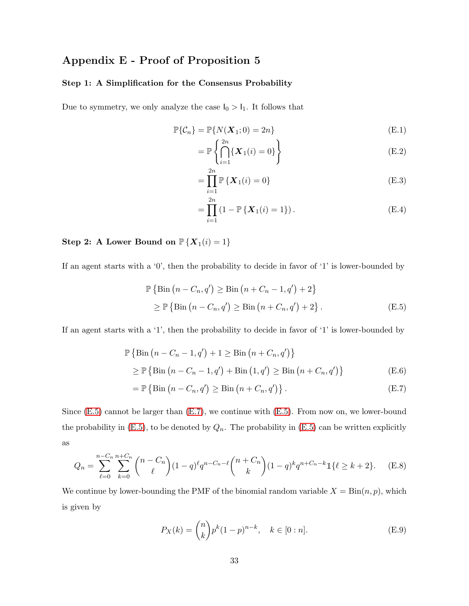## Appendix E - Proof of Proposition 5

#### Step 1: A Simplification for the Consensus Probability

Due to symmetry, we only analyze the case  $\mathsf{I}_0>\mathsf{I}_1.$  It follows that

$$
\mathbb{P}\{\mathcal{C}_n\} = \mathbb{P}\{N(\boldsymbol{X}_1; 0) = 2n\}
$$
\n(E.1)

$$
= \mathbb{P}\left\{\bigcap_{i=1}^{2n} \{X_1(i) = 0\}\right\} \tag{E.2}
$$

<span id="page-32-5"></span><span id="page-32-4"></span><span id="page-32-0"></span>
$$
= \prod_{i=1}^{2n} \mathbb{P}\left\{ \boldsymbol{X}_1(i) = 0 \right\} \tag{E.3}
$$

<span id="page-32-3"></span><span id="page-32-2"></span><span id="page-32-1"></span>
$$
= \prod_{i=1}^{2n} (1 - \mathbb{P}\{\mathbf{X}_1(i) = 1\}).
$$
 (E.4)

## Step 2: A Lower Bound on  $\mathbb{P}\left\{ \boldsymbol{X}_{1}(i)=1\right\}$

If an agent starts with a '0', then the probability to decide in favor of '1' is lower-bounded by

$$
\mathbb{P}\left\{\text{Bin}\left(n - C_n, q'\right) \geq \text{Bin}\left(n + C_n - 1, q'\right) + 2\right\}
$$
\n
$$
\geq \mathbb{P}\left\{\text{Bin}\left(n - C_n, q'\right) \geq \text{Bin}\left(n + C_n, q'\right) + 2\right\}.\tag{E.5}
$$

If an agent starts with a '1', then the probability to decide in favor of '1' is lower-bounded by

$$
\mathbb{P}\left\{\text{Bin}\left(n - C_n - 1, q'\right) + 1 \ge \text{Bin}\left(n + C_n, q'\right)\right\}
$$
\n
$$
\ge \mathbb{P}\left\{\text{Bin}\left(n - C_n - 1, q'\right) + \text{Bin}\left(1, q'\right) \ge \text{Bin}\left(n + C_n, q'\right)\right\} \tag{E.6}
$$

<span id="page-32-7"></span>
$$
= \mathbb{P}\left\{\text{Bin}\left(n - C_n, q'\right) \geq \text{Bin}\left(n + C_n, q'\right)\right\}.
$$
\n(E.7)

Since [\(E.5\)](#page-32-3) cannot be larger than [\(E.7\)](#page-32-7), we continue with [\(E.5\)](#page-32-3). From now on, we lower-bound the probability in  $(E.5)$ , to be denoted by  $Q_n$ . The probability in  $(E.5)$  can be written explicitly as

$$
Q_n = \sum_{\ell=0}^{n-C_n} \sum_{k=0}^{n+C_n} \binom{n-C_n}{\ell} (1-q)^{\ell} q^{n-C_n-\ell} \binom{n+C_n}{k} (1-q)^k q^{n+C_n-k} \mathbb{1}\{\ell \ge k+2\}.
$$
 (E.8)

We continue by lower-bounding the PMF of the binomial random variable  $X = Bin(n, p)$ , which is given by

<span id="page-32-8"></span><span id="page-32-6"></span>
$$
P_X(k) = \binom{n}{k} p^k (1-p)^{n-k}, \quad k \in [0:n].
$$
 (E.9)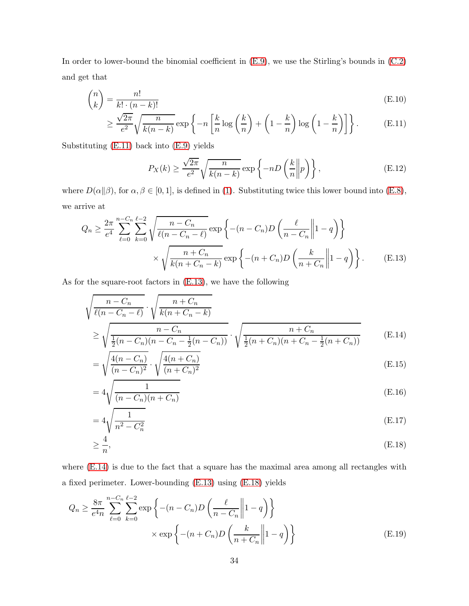In order to lower-bound the binomial coefficient in  $(E.9)$ , we use the Stirling's bounds in  $(C.2)$ and get that

$$
\binom{n}{k} = \frac{n!}{k! \cdot (n-k)!} \tag{E.10}
$$

$$
\geq \frac{\sqrt{2\pi}}{e^2} \sqrt{\frac{n}{k(n-k)}} \exp\left\{-n\left[\frac{k}{n}\log\left(\frac{k}{n}\right) + \left(1 - \frac{k}{n}\right)\log\left(1 - \frac{k}{n}\right)\right]\right\}.
$$
 (E.11)

Substituting [\(E.11\)](#page-33-7) back into [\(E.9\)](#page-32-8) yields

<span id="page-33-8"></span><span id="page-33-7"></span><span id="page-33-6"></span><span id="page-33-2"></span><span id="page-33-1"></span>
$$
P_X(k) \ge \frac{\sqrt{2\pi}}{e^2} \sqrt{\frac{n}{k(n-k)}} \exp\left\{-nD\left(\frac{k}{n} \middle\| p\right)\right\},\tag{E.12}
$$

where  $D(\alpha||\beta)$ , for  $\alpha, \beta \in [0, 1]$ , is defined in [\(1\)](#page-6-1). Substituting twice this lower bound into [\(E.8\)](#page-32-6), we arrive at

$$
Q_n \geq \frac{2\pi}{e^4} \sum_{\ell=0}^{n-C_n} \sum_{k=0}^{\ell-2} \sqrt{\frac{n-C_n}{\ell(n-C_n-\ell)}} \exp\left\{ -(n-C_n)D\left(\frac{\ell}{n-C_n} \middle\| 1-q \right) \right\}
$$

$$
\times \sqrt{\frac{n+C_n}{k(n+C_n-k)}} \exp\left\{ -(n+C_n)D\left(\frac{k}{n+C_n} \middle\| 1-q \right) \right\}. \tag{E.13}
$$

As for the square-root factors in [\(E.13\)](#page-33-8), we have the following

$$
\sqrt{\frac{n - C_n}{\ell(n - C_n - \ell)} \cdot \sqrt{\frac{n + C_n}{k(n + C_n - k)}}}
$$
\n
$$
\geq \sqrt{\frac{n - C_n}{\frac{1}{2}(n - C_n)(n - C_n - \frac{1}{2}(n - C_n))}} \cdot \sqrt{\frac{n + C_n}{\frac{1}{2}(n + C_n)(n + C_n - \frac{1}{2}(n + C_n))}}
$$
(E.14)

$$
= \sqrt{\frac{4(n - C_n)}{(n - C_n)^2}} \cdot \sqrt{\frac{4(n + C_n)}{(n + C_n)^2}}
$$
(E.15)

<span id="page-33-5"></span><span id="page-33-3"></span>
$$
=4\sqrt{\frac{1}{(n-C_n)(n+C_n)}}
$$
\n(E.16)

<span id="page-33-9"></span><span id="page-33-4"></span>
$$
=4\sqrt{\frac{1}{n^2 - C_n^2}}\tag{E.17}
$$

<span id="page-33-0"></span>
$$
\geq \frac{4}{n},\tag{E.18}
$$

where [\(E.14\)](#page-33-2) is due to the fact that a square has the maximal area among all rectangles with a fixed perimeter. Lower-bounding [\(E.13\)](#page-33-8) using [\(E.18\)](#page-33-9) yields

$$
Q_n \ge \frac{8\pi}{e^4 n} \sum_{\ell=0}^{n-C_n} \sum_{k=0}^{\ell-2} \exp\left\{ -(n-C_n)D\left(\frac{\ell}{n-C_n} \middle\| 1-q \right) \right\}
$$

$$
\times \exp\left\{ -(n+C_n)D\left(\frac{k}{n+C_n} \middle\| 1-q \right) \right\}
$$
(E.19)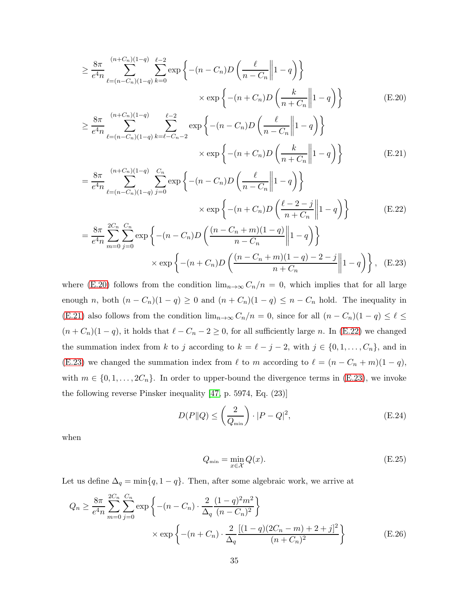<span id="page-34-5"></span>
$$
\geq \frac{8\pi}{e^4 n} \sum_{\ell=(n-C_n)(1-q)}^{(n+C_n)(1-q)} \sum_{k=0}^{\ell-2} \exp\left\{ -(n-C_n)D\left(\frac{\ell}{n-C_n} \middle\| 1-q \right) \right\}
$$

$$
\times \exp\left\{ -(n+C_n)D\left(\frac{k}{n+C_n} \middle\| 1-q \right) \right\}
$$
(E.20)  

$$
8\pi \sum_{\ell=0}^{(n+C_n)(1-q)} \frac{\ell-2}{\ell-2} \left( -(n+C_n)D\left(\frac{k}{n+C_n} \middle\| 1-q \right) \right)
$$

<span id="page-34-0"></span>
$$
\geq \frac{8\pi}{e^4 n} \sum_{\ell=(n-C_n)(1-q)}^{(n+C_n)(1-q)} \sum_{k=\ell-C_n-2}^{\ell-2} \exp\left\{ -(n-C_n)D\left(\frac{\ell}{n-C_n} \middle\| 1-q \right) \right\} \\
\times \exp\left\{ -(n+C_n)D\left(\frac{k}{n+C_n} \middle\| 1-q \right) \right\} \tag{E.21}
$$

$$
= \frac{8\pi}{e^4 n} \sum_{\ell=(n-C_n)(1-q)}^{(n+C_n)(1-q)} \sum_{j=0}^{C_n} \exp\left\{ -(n-C_n)D\left(\frac{\ell}{n-C_n} \middle\| 1-q \right) \right\}
$$
  
×  $\exp\left\{ -(n+C_n)D\left(\frac{\ell-2-j}{n+C_n} \middle\| 1-q \right) \right\}$  (E.22)  

$$
= \frac{8\pi}{e^4 n} \sum_{m=0}^{2C_n} \sum_{j=0}^{C_n} \exp\left\{ -(n-C_n)D\left(\frac{(n-C_n+m)(1-q)}{n-C_n} \middle\| 1-q \right) \right\}
$$
  
×  $\exp\left\{ -(n+C_n)D\left(\frac{(n-C_n+m)(1-q)-2-j}{n+C_n} \middle\| 1-q \right) \right\}$ , (E.23)

where [\(E.20\)](#page-34-5) follows from the condition  $\lim_{n\to\infty} C_n/n = 0$ , which implies that for all large enough *n*, both  $(n - C_n)(1 - q) \ge 0$  and  $(n + C_n)(1 - q) \le n - C_n$  hold. The inequality in [\(E.21\)](#page-34-0) also follows from the condition  $\lim_{n\to\infty} C_n/n = 0$ , since for all  $(n - C_n)(1 - q) \leq \ell \leq$  $(n + C_n)(1 - q)$ , it holds that  $\ell - C_n - 2 \ge 0$ , for all sufficiently large n. In [\(E.22\)](#page-34-1) we changed the summation index from k to j according to  $k = \ell - j - 2$ , with  $j \in \{0, 1, \ldots, C_n\}$ , and in [\(E.23\)](#page-34-4) we changed the summation index from  $\ell$  to m according to  $\ell = (n - C_n + m)(1 - q)$ , with  $m \in \{0, 1, \ldots, 2C_n\}$ . In order to upper-bound the divergence terms in [\(E.23\)](#page-34-4), we invoke the following reverse Pinsker inequality [\[47,](#page-40-2) p. 5974, Eq. (23)]

<span id="page-34-4"></span><span id="page-34-1"></span>
$$
D(P||Q) \le \left(\frac{2}{Q_{\min}}\right) \cdot |P - Q|^2,\tag{E.24}
$$

when

<span id="page-34-3"></span><span id="page-34-2"></span>
$$
Q_{\min} = \min_{x \in \mathcal{X}} Q(x). \tag{E.25}
$$

Let us define  $\Delta_q = \min\{q, 1-q\}$ . Then, after some algebraic work, we arrive at

$$
Q_n \ge \frac{8\pi}{e^4 n} \sum_{m=0}^{2C_n} \sum_{j=0}^{C_n} \exp\left\{ -(n - C_n) \cdot \frac{2}{\Delta_q} \frac{(1 - q)^2 m^2}{(n - C_n)^2} \right\}
$$
  
×  $\exp\left\{ -(n + C_n) \cdot \frac{2}{\Delta_q} \frac{[(1 - q)(2C_n - m) + 2 + j]^2}{(n + C_n)^2} \right\}$  (E.26)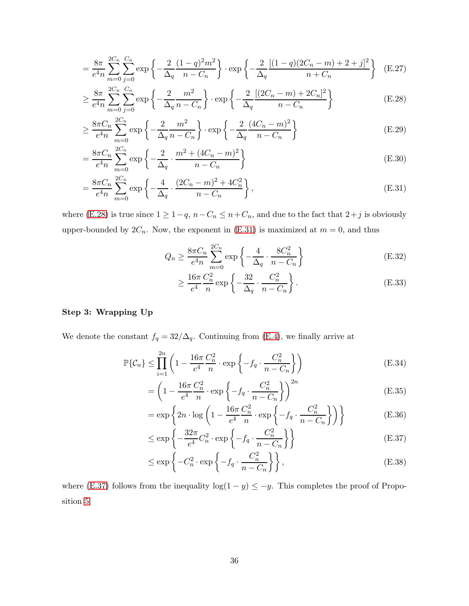$$
= \frac{8\pi}{e^4 n} \sum_{m=0}^{2C_n} \sum_{j=0}^{C_n} \exp\left\{-\frac{2}{\Delta_q} \frac{(1-q)^2 m^2}{n - C_n}\right\} \cdot \exp\left\{-\frac{2}{\Delta_q} \frac{[(1-q)(2C_n - m) + 2 + j]^2}{n + C_n}\right\} (E.27)
$$

$$
\geq \frac{8\pi}{e^4 n} \sum_{m=0}^{2C_n} \sum_{j=0}^{C_n} \exp\left\{-\frac{2}{\Delta_q} \frac{m^2}{n - C_n}\right\} \cdot \exp\left\{-\frac{2}{\Delta_q} \frac{[(2C_n - m) + 2C_n]^2}{n - C_n}\right\} \tag{E.28}
$$

$$
\geq \frac{8\pi C_n}{e^4 n} \sum_{m=0}^{2C_n} \exp\left\{-\frac{2}{\Delta_q} \frac{m^2}{n - C_n}\right\} \cdot \exp\left\{-\frac{2}{\Delta_q} \frac{(4C_n - m)^2}{n - C_n}\right\} \tag{E.29}
$$

$$
= \frac{8\pi C_n}{e^4 n} \sum_{m=0}^{2C_n} \exp\left\{-\frac{2}{\Delta_q} \cdot \frac{m^2 + (4C_n - m)^2}{n - C_n}\right\}
$$
(E.30)

$$
= \frac{8\pi C_n}{e^4 n} \sum_{m=0}^{2C_n} \exp\left\{-\frac{4}{\Delta_q} \cdot \frac{(2C_n - m)^2 + 4C_n^2}{n - C_n}\right\},\tag{E.31}
$$

where [\(E.28\)](#page-35-4) is true since  $1 \geq 1-q$ ,  $n-C_n \leq n+C_n$ , and due to the fact that  $2+j$  is obviously upper-bounded by  $2C_n$ . Now, the exponent in [\(E.31\)](#page-35-8) is maximized at  $m = 0$ , and thus

<span id="page-35-5"></span><span id="page-35-4"></span><span id="page-35-3"></span>
$$
Q_n \ge \frac{8\pi C_n}{e^4 n} \sum_{m=0}^{2C_n} \exp\left\{-\frac{4}{\Delta_q} \cdot \frac{8C_n^2}{n - C_n}\right\}
$$
(E.32)

<span id="page-35-8"></span><span id="page-35-6"></span><span id="page-35-1"></span><span id="page-35-0"></span>
$$
\geq \frac{16\pi}{e^4} \frac{C_n^2}{n} \exp\left\{-\frac{32}{\Delta_q} \cdot \frac{C_n^2}{n - C_n}\right\}.
$$
 (E.33)

#### Step 3: Wrapping Up

We denote the constant  $f_q = 32/\Delta_q$ . Continuing from [\(E.4\)](#page-32-1), we finally arrive at

$$
\mathbb{P}\{\mathcal{C}_n\} \le \prod_{i=1}^{2n} \left(1 - \frac{16\pi}{e^4} \frac{C_n^2}{n} \cdot \exp\left\{-f_q \cdot \frac{C_n^2}{n - C_n}\right\}\right)
$$
(E.34)

$$
= \left(1 - \frac{16\pi}{e^4} \frac{C_n^2}{n} \cdot \exp\left\{-f_q \cdot \frac{C_n^2}{n - C_n}\right\}\right)^{2n}
$$
(E.35)

<span id="page-35-7"></span>
$$
= \exp\left\{2n \cdot \log\left(1 - \frac{16\pi}{e^4} \frac{C_n^2}{n} \cdot \exp\left\{-f_q \cdot \frac{C_n^2}{n - C_n}\right\}\right)\right\}
$$
(E.36)

$$
\leq \exp\left\{-\frac{32\pi}{e^4}C_n^2 \cdot \exp\left\{-f_q \cdot \frac{C_n^2}{n - C_n}\right\}\right\} \tag{E.37}
$$

<span id="page-35-9"></span><span id="page-35-2"></span>
$$
\leq \exp\left\{-C_n^2 \cdot \exp\left\{-f_q \cdot \frac{C_n^2}{n - C_n}\right\}\right\},\tag{E.38}
$$

where [\(E.37\)](#page-35-9) follows from the inequality  $log(1 - y) \le -y$ . This completes the proof of Proposition [5.](#page-14-0)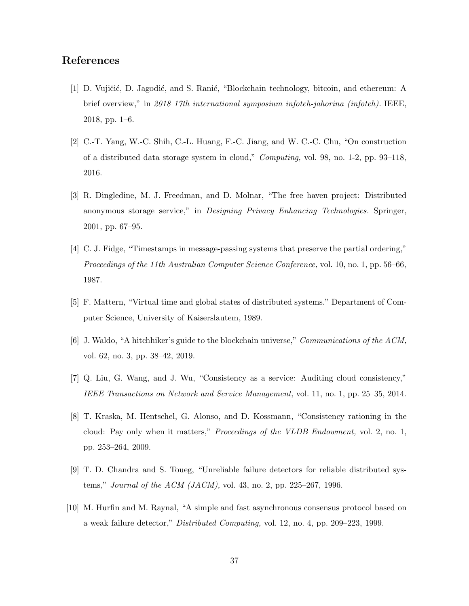## <span id="page-36-0"></span>References

- [1] D. Vujičić, D. Jagodić, and S. Ranić, "Blockchain technology, bitcoin, and ethereum: A brief overview," in *2018 17th international symposium infoteh-jahorina (infoteh).* IEEE, 2018, pp. 1–6.
- <span id="page-36-2"></span><span id="page-36-1"></span>[2] C.-T. Yang, W.-C. Shih, C.-L. Huang, F.-C. Jiang, and W. C.-C. Chu, "On construction of a distributed data storage system in cloud," *Computing,* vol. 98, no. 1-2, pp. 93–118, 2016.
- [3] R. Dingledine, M. J. Freedman, and D. Molnar, "The free haven project: Distributed anonymous storage service," in *Designing Privacy Enhancing Technologies.* Springer, 2001, pp. 67–95.
- <span id="page-36-3"></span>[4] C. J. Fidge, "Timestamps in message-passing systems that preserve the partial ordering," *Proceedings of the 11th Australian Computer Science Conference,* vol. 10, no. 1, pp. 56–66, 1987.
- <span id="page-36-5"></span><span id="page-36-4"></span>[5] F. Mattern, "Virtual time and global states of distributed systems." Department of Computer Science, University of Kaiserslautem, 1989.
- <span id="page-36-6"></span>[6] J. Waldo, "A hitchhiker's guide to the blockchain universe," *Communications of the ACM,* vol. 62, no. 3, pp. 38–42, 2019.
- <span id="page-36-7"></span>[7] Q. Liu, G. Wang, and J. Wu, "Consistency as a service: Auditing cloud consistency," *IEEE Transactions on Network and Service Management,* vol. 11, no. 1, pp. 25–35, 2014.
- [8] T. Kraska, M. Hentschel, G. Alonso, and D. Kossmann, "Consistency rationing in the cloud: Pay only when it matters," *Proceedings of the VLDB Endowment,* vol. 2, no. 1, pp. 253–264, 2009.
- <span id="page-36-9"></span><span id="page-36-8"></span>[9] T. D. Chandra and S. Toueg, "Unreliable failure detectors for reliable distributed systems," *Journal of the ACM (JACM),* vol. 43, no. 2, pp. 225–267, 1996.
- [10] M. Hurfin and M. Raynal, "A simple and fast asynchronous consensus protocol based on a weak failure detector," *Distributed Computing,* vol. 12, no. 4, pp. 209–223, 1999.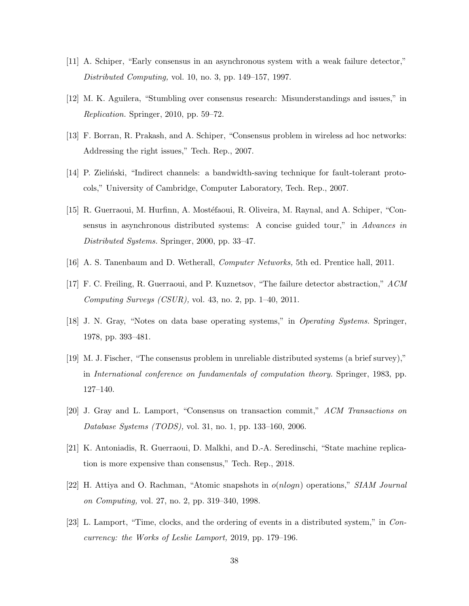- <span id="page-37-1"></span><span id="page-37-0"></span>[11] A. Schiper, "Early consensus in an asynchronous system with a weak failure detector," *Distributed Computing,* vol. 10, no. 3, pp. 149–157, 1997.
- <span id="page-37-2"></span>[12] M. K. Aguilera, "Stumbling over consensus research: Misunderstandings and issues," in *Replication.* Springer, 2010, pp. 59–72.
- <span id="page-37-3"></span>[13] F. Borran, R. Prakash, and A. Schiper, "Consensus problem in wireless ad hoc networks: Addressing the right issues," Tech. Rep., 2007.
- <span id="page-37-4"></span>[14] P. Zielinski, "Indirect channels: a bandwidth-saving technique for fault-tolerant protocols," University of Cambridge, Computer Laboratory, Tech. Rep., 2007.
- [15] R. Guerraoui, M. Hurfinn, A. Mostéfaoui, R. Oliveira, M. Raynal, and A. Schiper, "Consensus in asynchronous distributed systems: A concise guided tour," in *Advances in Distributed Systems.* Springer, 2000, pp. 33–47.
- <span id="page-37-6"></span><span id="page-37-5"></span>[16] A. S. Tanenbaum and D. Wetherall, *Computer Networks,* 5th ed. Prentice hall, 2011.
- <span id="page-37-7"></span>[17] F. C. Freiling, R. Guerraoui, and P. Kuznetsov, "The failure detector abstraction," *ACM Computing Surveys (CSUR),* vol. 43, no. 2, pp. 1–40, 2011.
- <span id="page-37-8"></span>[18] J. N. Gray, "Notes on data base operating systems," in *Operating Systems.* Springer, 1978, pp. 393–481.
- [19] M. J. Fischer, "The consensus problem in unreliable distributed systems (a brief survey)," in *International conference on fundamentals of computation theory.* Springer, 1983, pp. 127–140.
- <span id="page-37-10"></span><span id="page-37-9"></span>[20] J. Gray and L. Lamport, "Consensus on transaction commit," *ACM Transactions on Database Systems (TODS),* vol. 31, no. 1, pp. 133–160, 2006.
- <span id="page-37-11"></span>[21] K. Antoniadis, R. Guerraoui, D. Malkhi, and D.-A. Seredinschi, "State machine replication is more expensive than consensus," Tech. Rep., 2018.
- <span id="page-37-12"></span>[22] H. Attiya and O. Rachman, "Atomic snapshots in o(nlogn) operations," *SIAM Journal on Computing,* vol. 27, no. 2, pp. 319–340, 1998.
- [23] L. Lamport, "Time, clocks, and the ordering of events in a distributed system," in *Concurrency: the Works of Leslie Lamport,* 2019, pp. 179–196.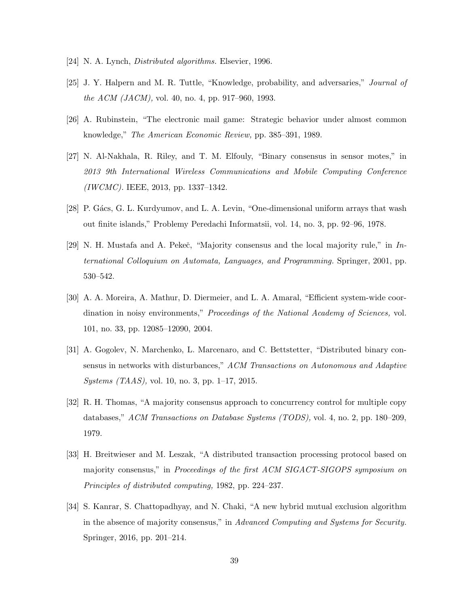- <span id="page-38-1"></span><span id="page-38-0"></span>[24] N. A. Lynch, *Distributed algorithms.* Elsevier, 1996.
- <span id="page-38-2"></span>[25] J. Y. Halpern and M. R. Tuttle, "Knowledge, probability, and adversaries," *Journal of the ACM (JACM),* vol. 40, no. 4, pp. 917–960, 1993.
- <span id="page-38-3"></span>[26] A. Rubinstein, "The electronic mail game: Strategic behavior under almost common knowledge," *The American Economic Review,* pp. 385–391, 1989.
- [27] N. Al-Nakhala, R. Riley, and T. M. Elfouly, "Binary consensus in sensor motes," in *2013 9th International Wireless Communications and Mobile Computing Conference (IWCMC).* IEEE, 2013, pp. 1337–1342.
- <span id="page-38-5"></span><span id="page-38-4"></span>[28] P. Gács, G. L. Kurdyumov, and L. A. Levin, "One-dimensional uniform arrays that wash out finite islands," Problemy Peredachi Informatsii, vol. 14, no. 3, pp. 92–96, 1978.
- [29] N. H. Mustafa and A. Pekeč, "Majority consensus and the local majority rule," in *International Colloquium on Automata, Languages, and Programming.* Springer, 2001, pp. 530–542.
- <span id="page-38-6"></span>[30] A. A. Moreira, A. Mathur, D. Diermeier, and L. A. Amaral, "Efficient system-wide coordination in noisy environments," *Proceedings of the National Academy of Sciences,* vol. 101, no. 33, pp. 12085–12090, 2004.
- <span id="page-38-7"></span>[31] A. Gogolev, N. Marchenko, L. Marcenaro, and C. Bettstetter, "Distributed binary consensus in networks with disturbances," *ACM Transactions on Autonomous and Adaptive Systems (TAAS),* vol. 10, no. 3, pp. 1–17, 2015.
- <span id="page-38-8"></span>[32] R. H. Thomas, "A majority consensus approach to concurrency control for multiple copy databases," *ACM Transactions on Database Systems (TODS),* vol. 4, no. 2, pp. 180–209, 1979.
- <span id="page-38-9"></span>[33] H. Breitwieser and M. Leszak, "A distributed transaction processing protocol based on majority consensus," in *Proceedings of the first ACM SIGACT-SIGOPS symposium on Principles of distributed computing,* 1982, pp. 224–237.
- <span id="page-38-10"></span>[34] S. Kanrar, S. Chattopadhyay, and N. Chaki, "A new hybrid mutual exclusion algorithm in the absence of majority consensus," in *Advanced Computing and Systems for Security.* Springer, 2016, pp. 201–214.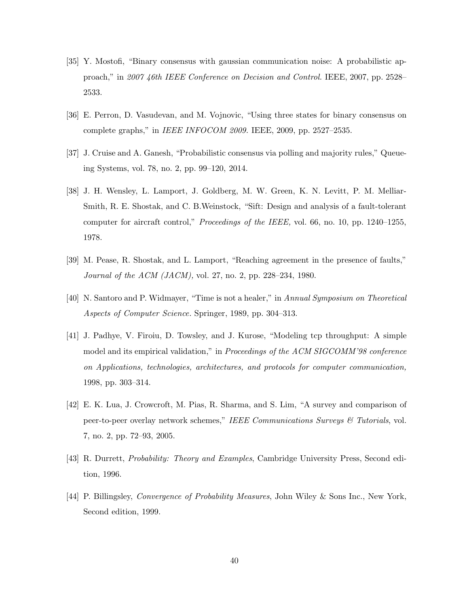- <span id="page-39-1"></span><span id="page-39-0"></span>[35] Y. Mostofi, "Binary consensus with gaussian communication noise: A probabilistic approach," in *2007 46th IEEE Conference on Decision and Control.* IEEE, 2007, pp. 2528– 2533.
- <span id="page-39-2"></span>[36] E. Perron, D. Vasudevan, and M. Vojnovic, "Using three states for binary consensus on complete graphs," in *IEEE INFOCOM 2009.* IEEE, 2009, pp. 2527–2535.
- <span id="page-39-3"></span>[37] J. Cruise and A. Ganesh, "Probabilistic consensus via polling and majority rules," Queueing Systems, vol. 78, no. 2, pp. 99–120, 2014.
- [38] J. H. Wensley, L. Lamport, J. Goldberg, M. W. Green, K. N. Levitt, P. M. Melliar-Smith, R. E. Shostak, and C. B.Weinstock, "Sift: Design and analysis of a fault-tolerant computer for aircraft control," *Proceedings of the IEEE,* vol. 66, no. 10, pp. 1240–1255, 1978.
- <span id="page-39-5"></span><span id="page-39-4"></span>[39] M. Pease, R. Shostak, and L. Lamport, "Reaching agreement in the presence of faults," *Journal of the ACM (JACM),* vol. 27, no. 2, pp. 228–234, 1980.
- <span id="page-39-6"></span>[40] N. Santoro and P. Widmayer, "Time is not a healer," in *Annual Symposium on Theoretical Aspects of Computer Science.* Springer, 1989, pp. 304–313.
- [41] J. Padhye, V. Firoiu, D. Towsley, and J. Kurose, "Modeling tcp throughput: A simple model and its empirical validation," in *Proceedings of the ACM SIGCOMM'98 conference on Applications, technologies, architectures, and protocols for computer communication,* 1998, pp. 303–314.
- <span id="page-39-7"></span>[42] E. K. Lua, J. Crowcroft, M. Pias, R. Sharma, and S. Lim, "A survey and comparison of peer-to-peer overlay network schemes," *IEEE Communications Surveys & Tutorials*, vol. 7, no. 2, pp. 72–93, 2005.
- <span id="page-39-9"></span><span id="page-39-8"></span>[43] R. Durrett, *Probability: Theory and Examples*, Cambridge University Press, Second edition, 1996.
- [44] P. Billingsley, *Convergence of Probability Measures*, John Wiley & Sons Inc., New York, Second edition, 1999.